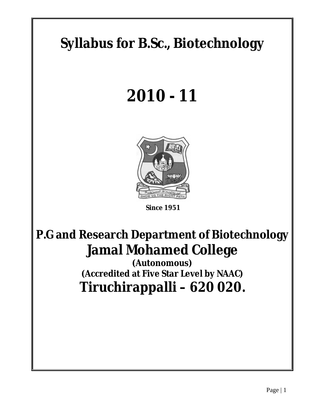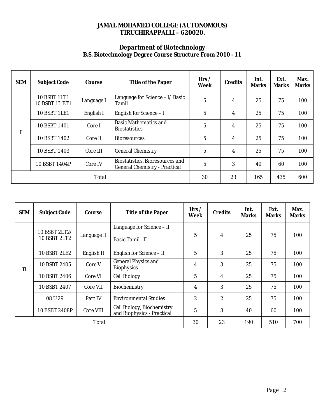## **JAMAL MOHAMED COLLEGE (AUTONOMOUS) TIRUCHIRAPPALLI – 620020.**

### **Department of Biotechnology B.S. Biotechnology Degree Course Structure From 2010 - 11**

| <b>SEM</b> | <b>Subject Code</b>                          | Course         | <b>Title of the Paper</b>                                                      | Hrs/<br>Week | <b>Credits</b> | Int.<br><b>Marks</b> | Ext.<br><b>Marks</b> | Max.<br><b>Marks</b> |
|------------|----------------------------------------------|----------------|--------------------------------------------------------------------------------|--------------|----------------|----------------------|----------------------|----------------------|
|            | <b>10 BSBT 1LT1</b><br><b>10 BSBT 1L BT1</b> | Language I     | Language for Science - I/ Basic<br><b>Tamil</b>                                | 5            | 4              | 25                   | 75                   | 100                  |
|            | <b>10 BSBT 1LE1</b>                          | English I      | English for Science - I                                                        | 5            | 4              | 25                   | 75                   | 100                  |
|            | 10 BSBT 1401                                 | Core I         | <b>Basic Mathematics and</b><br><b>Biostatistics</b>                           | 5            | 4              | 25                   | 75                   | 100                  |
|            | 10 BSBT 1402                                 | Core II        | <b>Bioresources</b>                                                            | 5            | 4              | 25                   | 75                   | 100                  |
|            | 10 BSBT 1403                                 | Core III       | <b>General Chemistry</b>                                                       | 5            | 4              | 25                   | 75                   | 100                  |
|            | 10 BSBT 1404P                                | <b>Core IV</b> | <b>Biostatistics, Bioresources and</b><br><b>General Chemistry - Practical</b> | 5            | 3              | 40                   | 60                   | 100                  |
|            |                                              | <b>Total</b>   |                                                                                | 30           | 23             | 165                  | 435                  | 600                  |

| <b>SEM</b>   | <b>Subject Code</b>                  | Course                                      | <b>Title of the Paper</b>                                       | Hrs/<br>Week     | <b>Credits</b>   | Int.<br><b>Marks</b> | Ext.<br><b>Marks</b> | Max.<br><b>Marks</b> |
|--------------|--------------------------------------|---------------------------------------------|-----------------------------------------------------------------|------------------|------------------|----------------------|----------------------|----------------------|
|              |                                      |                                             | Language for Science - II                                       |                  |                  |                      |                      |                      |
|              | 10 BSBT 2LT2/<br><b>10 BSBT 2LT2</b> | Language II                                 | <b>Basic Tamil-II</b>                                           | $5\phantom{.0}$  | 4                | 25                   | 75                   | 100                  |
|              | <b>10 BSBT 2LE2</b>                  | English II                                  | <b>English for Science - II</b>                                 | $\overline{5}$   | 3                | 25                   | 75                   | 100                  |
| $\mathbf{I}$ | 10 BSBT 2405                         | Core V<br><b>Core VI</b><br><b>Core VII</b> | <b>General Physics and</b><br><b>Biophysics</b>                 | 4                | 3                | 25                   | 75                   | 100                  |
|              | 10 BSBT 2406                         |                                             | <b>Cell Biology</b>                                             | $\overline{5}$   | 4                | 25                   | 75                   | 100                  |
|              | 10 BSBT 2407                         |                                             | <b>Biochemistry</b>                                             | 4                | 3                | 25                   | 75                   | 100                  |
|              | 08 U 29                              | Part IV                                     | <b>Environmental Studies</b>                                    | $\boldsymbol{2}$ | $\boldsymbol{2}$ | 25                   | 75                   | 100                  |
|              | 10 BSBT 2408P                        | <b>Core VIII</b>                            | <b>Cell Biology, Biochemistry</b><br>and Biophysics - Practical | $\overline{5}$   | 3                | 40                   | 60                   | 100                  |
| Total        |                                      |                                             |                                                                 | 30               | 23               | 190                  | 510                  | 700                  |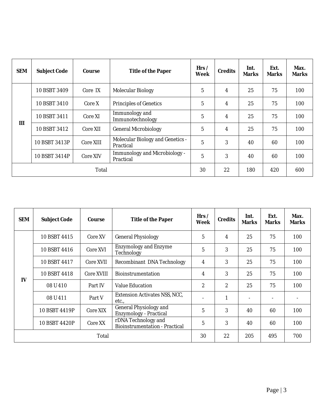| <b>SEM</b>   | <b>Subject Code</b> | Course           | <b>Title of the Paper</b>                                   | Hrs/<br>Week   | <b>Credits</b> | Int.<br>Marks | Ext.<br><b>Marks</b> | Max.<br><b>Marks</b> |
|--------------|---------------------|------------------|-------------------------------------------------------------|----------------|----------------|---------------|----------------------|----------------------|
|              | 10 BSBT 3409        | Core IX          | <b>Molecular Biology</b>                                    | $\overline{5}$ | 4              | 25            | 75                   | 100                  |
|              | 10 BSBT 3410        | Core X           | <b>Principles of Genetics</b>                               | $\overline{5}$ | 4              | 25            | 75                   | 100                  |
| III          | 10 BSBT 3411        | Core XI          | <b>Immunology</b> and<br>Immunotechnology                   | $\overline{5}$ | 4              | 25            | 75                   | 100                  |
|              | 10 BSBT 3412        | Core XII         | <b>General Microbiology</b>                                 | 5              | 4              | 25            | 75                   | 100                  |
|              | 10 BSBT 3413P       | <b>Core XIII</b> | <b>Molecular Biology and Genetics -</b><br><b>Practical</b> | $\overline{5}$ | 3              | 40            | 60                   | 100                  |
|              | 10 BSBT 3414P       | <b>Core XIV</b>  | <b>Immunology and Microbiology -</b><br><b>Practical</b>    | $\overline{5}$ | 3              | 40            | 60                   | 100                  |
| <b>Total</b> |                     |                  |                                                             | 30             | 22             | 180           | 420                  | 600                  |

| <b>SEM</b>   | <b>Subject Code</b> | Course            | <b>Title of the Paper</b>                                      | Hrs/<br>Week     | <b>Credits</b>   | Int.<br><b>Marks</b> | Ext.<br><b>Marks</b> | Max.<br><b>Marks</b> |
|--------------|---------------------|-------------------|----------------------------------------------------------------|------------------|------------------|----------------------|----------------------|----------------------|
|              | 10 BSBT 4415        | Core XV           | <b>General Physiology</b>                                      | 5                | 4                | 25                   | 75                   | 100                  |
|              | 10 BSBT 4416        | Core XVI          | <b>Enzymology and Enzyme</b><br><b>Technology</b>              | $\mathbf 5$      | 3                | 25                   | 75                   | 100                  |
|              | 10 BSBT 4417        | Core XVII         | <b>Recombinant DNA Technology</b>                              | 4                | 3                | 25                   | 75                   | 100                  |
|              | 10 BSBT 4418        | <b>Core XVIII</b> | <b>Bioinstrumentation</b>                                      | 4                | 3                | 25                   | 75                   | 100                  |
| IV           | 08 U 410            | Part IV           | <b>Value Education</b>                                         | $\boldsymbol{2}$ | $\boldsymbol{2}$ | 25                   | 75                   | 100                  |
|              | 08 U 411            | Part V            | <b>Extension Activates NSS, NCC,</b><br>etc.,                  |                  | $\mathbf{1}$     |                      |                      |                      |
|              | 10 BSBT 4419P       | Core XIX          | <b>General Physiology and</b><br><b>Enzymology - Practical</b> | 5                | 3                | 40                   | 60                   | 100                  |
|              | 10 BSBT 4420P       | Core XX           | rDNA Technology and<br><b>Bioinstrumentation - Practical</b>   | $\mathbf{5}$     | 3                | 40                   | 60                   | 100                  |
| <b>Total</b> |                     |                   |                                                                | 30               | 22               | 205                  | 495                  | 700                  |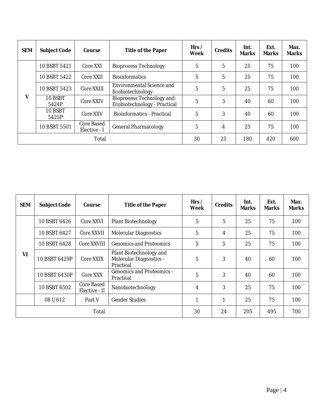| <b>SEM</b>   | <b>Subject Code</b> | Course                            | <b>Title of the Paper</b>                                               | Hrs/<br>Week   | <b>Credits</b> | Int.<br><b>Marks</b> | Ext.<br><b>Marks</b> | Max.<br><b>Marks</b> |
|--------------|---------------------|-----------------------------------|-------------------------------------------------------------------------|----------------|----------------|----------------------|----------------------|----------------------|
|              | 10 BSBT 5421        | Core XXI                          | <b>Bioprocess Technology</b>                                            | $\mathbf 5$    | 5              | 25                   | 75                   | 100                  |
|              | 10 BSBT 5422        | Core XXII                         | <b>Bioinformatics</b>                                                   | $\overline{5}$ | 5              | 25                   | 75                   | 100                  |
|              | 10 BSBT 5423        | <b>Core XXIII</b>                 | <b>Environmental Science and</b><br>Ecobiotechnology                    | 5              | 5              | 25                   | 75                   | 100                  |
| V            | 10 BSBT<br>5424P    | <b>Core XXIV</b>                  | <b>Bioprocess Technology and</b><br><b>Ecobiotechnology - Practical</b> | $\overline{5}$ | 3              | 40                   | 60                   | 100                  |
|              | 10 BSBT<br>5425P    | Core XXV                          | <b>Bioinformatics - Practical</b>                                       | 5              | 3              | 40                   | 60                   | 100                  |
|              | 10 BSBT 5501        | <b>Core Based</b><br>Elective - I | <b>General Pharmacology</b>                                             | 5              | 4              | 25                   | 75                   | 100                  |
| <b>Total</b> |                     |                                   |                                                                         | 30             | 25             | 180                  | 420                  | 600                  |

| <b>SEM</b>   | <b>Subject Code</b>                         | Course                             | <b>Title of the Paper</b>                                                     |                | <b>Credits</b> | Int.<br><b>Marks</b> | Ext.<br><b>Marks</b> | Max.<br><b>Marks</b> |
|--------------|---------------------------------------------|------------------------------------|-------------------------------------------------------------------------------|----------------|----------------|----------------------|----------------------|----------------------|
|              | 10 BSBT 6426                                | <b>Core XXVI</b>                   | <b>Plant Biotechnology</b>                                                    | $\overline{5}$ | 5              | 25                   | 75                   | 100                  |
|              | 10 BSBT 6427                                | <b>Core XXVII</b>                  | <b>Molecular Diagnostics</b>                                                  | 5              | 4              | 25                   | 75                   | 100                  |
|              | 10 BSBT 6428                                | <b>Core XXVIII</b>                 | <b>Genomics and Proteomics</b>                                                | 5              | 5              | 25                   | 75                   | 100                  |
| VI           | 10 BSBT 6429P                               | <b>Core XXIX</b>                   | <b>Plant Biotechnology and</b><br><b>Molecular Diagnostics -</b><br>Practical | 5              | 3              | 40                   | 60                   | 100                  |
|              | <b>10 BSBT 6430P</b>                        | Core XXX                           | <b>Genomics and Proteomics -</b><br>Practical                                 | 5              | 3              | 40                   | 60                   | 100                  |
|              | 10 BSBT 6502                                | <b>Core Based</b><br>Elective - II | Nanobiotechnology                                                             | 4              | 3              | 25                   | 75                   | 100                  |
|              | 08 U 612<br><b>Gender Studies</b><br>Part V |                                    | 1                                                                             | 1              | 25             | 75                   | 100                  |                      |
| <b>Total</b> |                                             |                                    |                                                                               | 30             | 24             | 205                  | 495                  | 700                  |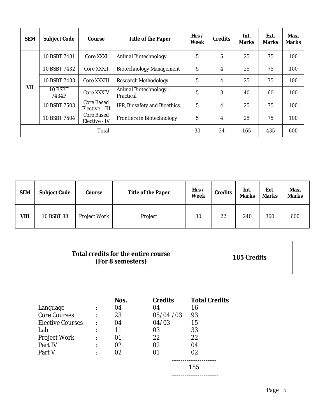| <b>SEM</b> | <b>Subject Code</b> | Course                              | <b>Title of the Paper</b>                  | Hrs/<br>Week | <b>Credits</b> | Int.<br><b>Marks</b> | Ext.<br><b>Marks</b> | Max.<br><b>Marks</b> |
|------------|---------------------|-------------------------------------|--------------------------------------------|--------------|----------------|----------------------|----------------------|----------------------|
|            | 10 BSBT 7431        | Core XXXI                           | <b>Animal Biotechnology</b>                | $\mathbf 5$  | 5              | 25                   | 75                   | 100                  |
|            | 10 BSBT 7432        | <b>Core XXXII</b>                   | <b>Biotechnology Management</b>            | 5            | 4              | 25                   | 75                   | 100                  |
|            | 10 BSBT 7433        | Core XXXIII                         | <b>Research Methodology</b>                | $\mathbf 5$  | 4              | 25                   | 75                   | 100                  |
| VII        | 10 BSBT<br>7434P    | <b>Core XXXIV</b>                   | <b>Animal Biotechnology -</b><br>Practical | $\mathbf 5$  | 3              | 40                   | 60                   | 100                  |
|            | 10 BSBT 7503        | <b>Core Based</b><br>Elective - III | <b>IPR, Biosafety and Bioethics</b>        | $\mathbf 5$  | 4              | 25                   | 75                   | 100                  |
|            | 10 BSBT 7504        | <b>Core Based</b><br>Elective - IV  | <b>Frontiers in Biotechnology</b>          | $\mathbf 5$  | 4              | 25                   | 75                   | 100                  |
|            | <b>Total</b>        |                                     |                                            |              | 24             | 165                  | 435                  | 600                  |

| <b>SEM</b> | <b>Subject Code</b> | Course              | <b>Title of the Paper</b> | Hrs /<br>Week | <b>Credits</b> | Int.<br><b>Marks</b> | Ext.<br><b>Marks</b> | Max.<br><b>Marks</b> |
|------------|---------------------|---------------------|---------------------------|---------------|----------------|----------------------|----------------------|----------------------|
| VIII       | <b>10 BSBT 88</b>   | <b>Project Work</b> | Project                   | 30            | 22             | 240                  | 360                  | 600                  |

|--|

|                         | Nos. | <b>Credits</b> | <b>Total Credits</b> |
|-------------------------|------|----------------|----------------------|
| Language                | 04   | 04             | 16                   |
| <b>Core Courses</b>     | 23   | 05/04 / 03     | 93                   |
| <b>Elective Courses</b> | 04   | 04/03          | 15                   |
| Lab                     | 11   | 03             | 33                   |
| <b>Project Work</b>     | 01   | 22             | 22                   |
| Part IV                 | 02   | 02             | 04                   |
| Part V                  | 02   | 01             | 02                   |
|                         |      |                | 185                  |
|                         |      |                |                      |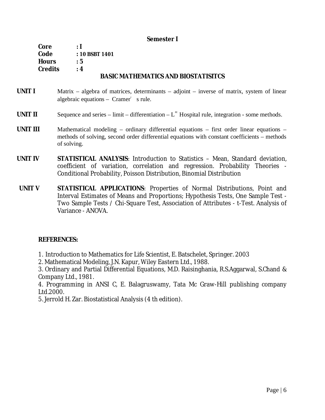### **Semester I**

| Core           | : I                                        |
|----------------|--------------------------------------------|
| Code           | : 10 BSBT 1401                             |
| <b>Hours</b>   | :5                                         |
| <b>Credits</b> | : 4                                        |
|                | <b>BASIC MATHEMATICS AND BIOSTATISITCS</b> |

- **UNIT I** Matrix algebra of matrices, determinants adjoint inverse of matrix, system of linear algebraic equations  $-$  Cramer<sup> $\bullet$ </sup> s rule.
- **UNIT II** Sequence and series limit differentiation  $L^{\prime\prime}$  Hospital rule, integration some methods.
- **UNIT III** Mathematical modeling ordinary differential equations first order linear equations methods of solving, second order differential equations with constant coefficients – methods of solving.
- **UNIT IV STATISTICAL ANALYSIS**: Introduction to Statistics Mean, Standard deviation, coefficient of variation, correlation and regression. Probability Theories - Conditional Probability, Poisson Distribution, Binomial Distribution
- **UNIT V STATISTICAL APPLICATIONS**: Properties of Normal Distributions, Point and Interval Estimates of Means and Proportions; Hypothesis Tests, One Sample Test - Two Sample Tests / Chi-Square Test, Association of Attributes - t-Test. Analysis of Variance - ANOVA.

### **REFERENCES:**

1. Introduction to Mathematics for Life Scientist, E. Batschelet, Springer. 2003

2. Mathematical Modeling, J.N. Kapur, Wiley Eastern Ltd., 1988.

3. Ordinary and Partial Differential Equations, M.D. Raisinghania, R.S.Aggarwal, S.Chand & Company Ltd., 1981.

4. Programming in ANSI C, E. Balagruswamy, Tata Mc Graw-Hill publishing company Ltd.2000.

5. Jerrold H. Zar. Biostatistical Analysis (4 th edition).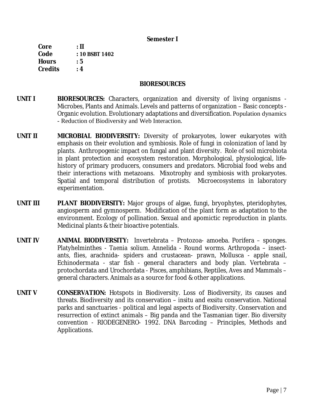### **Semester I**

**Core : II Code : 10 BSBT 1402 Hours : 5 Credits : 4** 

### **BIORESOURCES**

- **UNIT I BIORESOURCES:** Characters, organization and diversity of living organisms Microbes, Plants and Animals. Levels and patterns of organization – Basic concepts - Organic evolution. Evolutionary adaptations and diversification. Population dynamics - Reduction of Biodiversity and Web Interaction.
- **UNIT II MICROBIAL BIODIVERSITY:** Diversity of prokaryotes, lower eukaryotes with emphasis on their evolution and symbiosis. Role of fungi in colonization of land by plants. Anthropogenic impact on fungal and plant diversity. Role of soil microbiota in plant protection and ecosystem restoration. Morphological, physiological, lifehistory of primary producers, consumers and predators. Microbial food webs and their interactions with metazoans. Mixotrophy and symbiosis with prokaryotes. Spatial and temporal distribution of protists. Microecosystems in laboratory experimentation.
- **UNIT III PLANT BIODIVERSITY:** Major groups of algae, fungi, bryophytes, pteridophytes, angiosperm and gymnosperm. Modification of the plant form as adaptation to the environment. Ecology of pollination. Sexual and apomictic reproduction in plants. Medicinal plants & their bioactive potentials.
- **UNIT IV ANIMAL BIODIVERSITY:** Invertebrata Protozoa- amoeba. Porifera sponges. Platyhelminthes - *Taenia solium*. Annelida - Round worms. Arthropoda – insectants, flies, arachnida- spiders and crustacean- prawn, Mollusca - apple snail, Echinodermata - star fish - general characters and body plan. Vertebrata – protochordata and Urochordata - Pisces, amphibians, Reptiles, Aves and Mammals – general characters. Animals as a source for food & other applications.
- UNIT V CONSERVATION: Hotspots in Biodiversity. Loss of Biodiversity, its causes and threats. Biodiversity and its conservation – *insitu* and *exsitu* conservation. National parks and sanctuaries - political and legal aspects of Biodiversity. Conservation and resurrection of extinct animals – Big panda and the Tasmanian tiger. Bio diversity convention - RIODEGENERO- 1992. *DNA Barcoding* – Principles, Methods and Applications.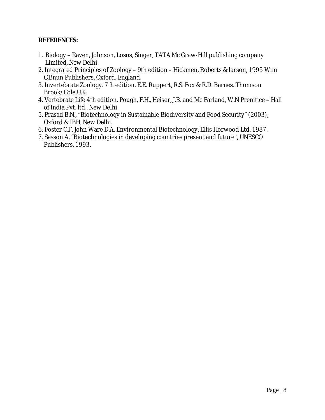### **REFERENCES:**

- 1. Biology Raven, Johnson, Losos, Singer, TATA Mc Graw-Hill publishing company Limited, New Delhi
- 2. Integrated Principles of Zoology 9th edition Hickmen, Roberts & larson, 1995 Wim C.Bnun Publishers, Oxford, England.
- 3. Invertebrate Zoology. 7th edition. E.E. Ruppert, R.S. Fox & R.D. Barnes. Thomson Brook/Cole.U.K.
- 4. Vertebrate Life 4th edition. Pough, F.H., Heiser, J.B. and Mc Farland, W.N Prenitice Hall of India Pvt. ltd., New Delhi
- 5. Prasad B.N., "Biotechnology in Sustainable Biodiversity and Food Security" (2003), Oxford & IBH, New Delhi.
- 6. Foster C.F. John Ware D.A. Environmental Biotechnology, Ellis Horwood Ltd. 1987.
- 7. Sasson A, "Biotechnologies in developing countries present and future", UNESCO Publishers, 1993.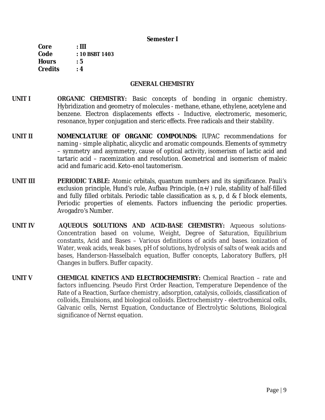#### **Semester I**

**Core : III Code : 10 BSBT 1403 Hours : 5 Credits : 4** 

### **GENERAL CHEMISTRY**

- **UNIT I ORGANIC CHEMISTRY:** Basic concepts of bonding in organic chemistry. Hybridization and geometry of molecules - methane, ethane, ethylene, acetylene and benzene. Electron displacements effects - Inductive, electromeric, mesomeric, resonance, hyper conjugation and steric effects. Free radicals and their stability.
- **UNIT II NOMENCLATURE OF ORGANIC COMPOUNDS:** IUPAC recommendations for naming - simple aliphatic, alicyclic and aromatic compounds. Elements of symmetry – symmetry and asymmetry, cause of optical activity, isomerism of lactic acid and tartaric acid – racemization and resolution. Geometrical and isomerism of maleic acid and fumaric acid. Keto-enol tautomerism.
- **UNIT III PERIODIC TABLE:** Atomic orbitals, quantum numbers and its significance. Pauli's exclusion principle, Hund's rule, Aufbau Principle,  $(n+/-)$  rule, stability of half-filled and fully filled orbitals. Periodic table classification as s, p, d & f block elements, Periodic properties of elements. Factors influencing the periodic properties. Avogadro's Number.
- **UNIT IV AQUEOUS SOLUTIONS AND ACID-BASE CHEMISTRY:** Aqueous solutions-Concentration based on volume, Weight, Degree of Saturation, Equilibrium constants, Acid and Bases – Various definitions of acids and bases. ionization of Water, weak acids, weak bases, pH of solutions, hydrolysis of salts of weak acids and bases, Handerson-Hasselbalch equation, Buffer concepts, Laboratory Buffers, pH Changes in buffers. Buffer capacity.
- **UNIT V CHEMICAL KINETICS AND ELECTROCHEMISTRY:** Chemical Reaction rate and factors influencing. Pseudo First Order Reaction, Temperature Dependence of the Rate of a Reaction, Surface chemistry, adsorption, catalysis, colloids, classification of colloids, Emulsions, and biological colloids. Electrochemistry - electrochemical cells, Galvanic cells, Nernst Equation, Conductance of Electrolytic Solutions, Biological significance of Nernst equation.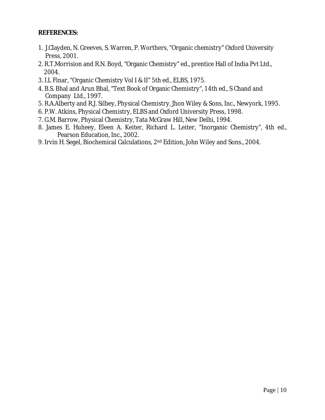## **REFERENCES:**

- 1. J.Clayden, N. Greeves, S. Warren, P. Worthers, "Organic chemistry" Oxford University Press, 2001.
- 2. R.T.Morrision and R.N. Boyd, "Organic Chemistry" ed., prentice Hall of India Pvt Ltd., 2004.
- 3. I.L Finar, "Organic Chemistry Vol I & II" 5th ed., ELBS, 1975.
- 4. B.S. Bhal and Arun Bhal, "Text Book of Organic Chemistry", 14th ed., S Chand and Company Ltd., 1997.
- 5. R.A.Alberty and R.J. Silbey, Physical Chemistry, Jhon Wiley & Sons, Inc., Newyork, 1995.
- 6. P.W. Atkins, Physical Chemistry, ELBS and Oxford University Press, 1998.
- 7. G.M. Barrow, Physical Chemistry, Tata McGraw Hill, New Delhi, 1994.
- 8. James E. Huheey, Eleen A. Keiter, Richard L. Leiter, "Inorganic Chemistry", 4th ed., Pearson Education, Inc., 2002.
- 9. Irvin H. Segel, Biochemical Calculations, 2nd Edition, John Wiley and Sons., 2004.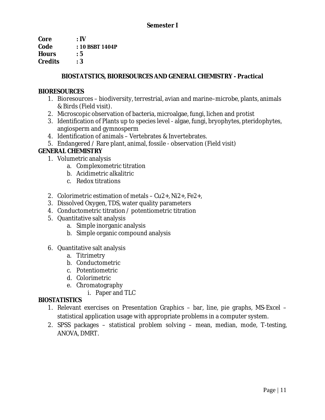| Core           | $:$ IV          |
|----------------|-----------------|
| Code           | : 10 BSBT 1404P |
| <b>Hours</b>   | : 5             |
| <b>Credits</b> | : 3             |
|                |                 |

## **BIOSTATSTICS, BIORESOURCES AND GENERAL CHEMISTRY - Practical**

## **BIORESOURCES**

- 1. Bioresources biodiversity, terrestrial, avian and marine–microbe, plants, animals & Birds (Field visit).
- 2. Microscopic observation of bacteria, microalgae, fungi, lichen and protist
- 3. Identification of Plants up to species level algae, fungi, bryophytes, pteridophytes, angiosperm and gymnosperm
- 4. Identification of animals Vertebrates & Invertebrates.
- 5. Endangered / Rare plant, animal, fossile observation (Field visit)

## **GENERAL CHEMISTRY**

- 1. Volumetric analysis
	- a. Complexometric titration
	- b. Acidimetric alkalitric
	- c. Redox titrations
- 2. Colorimetric estimation of metals Cu2+, Ni2+, Fe2+,
- 3. Dissolved Oxygen, TDS, water quality parameters
- 4. Conductometric titration / potentiometric titration
- 5. Quantitative salt analysis
	- a. Simple inorganic analysis
	- b. Simple organic compound analysis
- 6. Quantitative salt analysis
	- a. Titrimetry
	- b. Conductometric
	- c. Potentiometric
	- d. Colorimetric
	- e. Chromatography
		- i. Paper and TLC

## *BIOSTATISTICS*

- 1. Relevant exercises on Presentation Graphics bar, line, pie graphs, MS-Excel statistical application usage with appropriate problems in a computer system.
- 2. SPSS packages statistical problem solving mean, median, mode, T-testing, ANOVA, DMRT.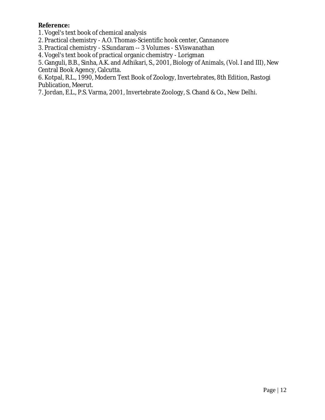**Reference:** 

1. Vogel's text book of chemical analysis

2. Practical chemistry - A.O. Thomas-Scientific hook center, Cannanore

3. Practical chemistry - S.Sundaram -- 3 Volumes - S.Viswanathan

4. Vogel's text book of practical organic chemistry - Lorigman

5. Ganguli, B.B., Sinha, A.K. and Adhikari, S., 2001, Biology of Animals, (Vol. I and III), New Central Book Agency, Calcutta.

6. Kotpal, R.L., 1990, Modern Text Book of Zoology, Invertebrates, 8th Edition, Rastogi Publication, Meerut.

7. Jordan, E.L., P.S. Varma, 2001, Invertebrate Zoology, S. Chand & Co., New Delhi.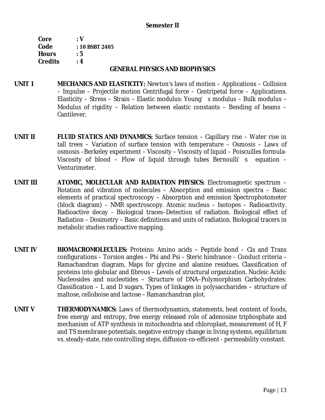### **Semester II**

| : V            |
|----------------|
| : 10 BSBT 2405 |
| : 5            |
| : 4            |
|                |

#### **GENERAL PHYSICS AND BIOPHYSICS**

- **UNIT 1 MECHANICS AND ELASTICITY:** Newton's laws of motion Applications Collision – Impulse – Projectile motion Centrifugal force – Centripetal force – Applications. Elasticity – Stress – Strain – Elastic modulus: Young's modulus – Bulk modulus – Modulus of rigidity – Relation between elastic constants – Bending of beams – Cantilever.
- **UNIT II FLUID STATICS AND DYNAMICS:** Surface tension Capillary rise Water rise in tall trees – Variation of surface tension with temperature – Osmosis – Laws of osmosis –Berkeley experiment – Viscosity – Viscosity of liquid – Poiscuilles formula-Viscosity of blood – Flow of liquid through tubes Bernoulli's equation – Venturimeter.
- **UNIT III ATOMIC, MOLECULAR AND RADIATION PHYSICS:** Electromagnetic spectrum Rotation and vibration of molecules – Absorption and emission spectra – Basic elements of practical spectroscopy – Absorption and emission Spectrophotometer (block diagram) – NMR spectroscopy. Atomic nucleus – Isotopes – Radioactivity. Radioactive decay - Biological traces–Detection of radiation. Biological effect of Radiation – Dosimetry – Basic definitions and units of radiation. Biological tracers in metabolic studies radioactive mapping.
- **UNIT IV BIOMACROMOLECULES:** Proteins: Amino acids Peptide bond Cis and Trans configurations – Torsion angles – Phi and Psi – Steric hindrance – Conduct criteria – Ramachandran diagram, Maps for glycine and alanine residues. Classification of proteins into globular and fibrous – Levels of structural organization. Nucleic Acids: Nucleosides and nucleotides – Structure of DNA–Polymorphism Carbohydrates: Classification – L and D sugars. Types of linkages in polysaccharides – structure of maltose, celloboise and lactose – Ramanchandran plot.
- **UNIT V THERMODYNAMICS:** Laws of thermodynamics, statements, heat content of foods, free energy and entropy, free energy released role of adenosine triphosphate and mechanism of ATP synthesis in mitochondria and chloroplast, measurement of H, F and TS membrane potentials, negative entropy change in living systems, equilibrium vs. steady-state, rate controlling steps, diffusion-co-efficient - permeability constant.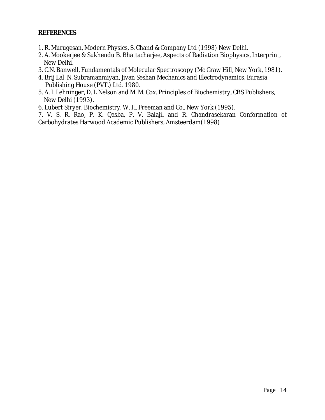### **REFERENCES**

- 1. R. Murugesan, Modern Physics, S. Chand & Company Ltd (1998) New Delhi.
- 2. A. Mookerjee & Sukhendu B. Bhattacharjee, Aspects of Radiation Biophysics, Interprint, New Delhi.
- 3. C.N. Banwell, Fundamentals of Molecular Spectroscopy (Mc Graw Hill, New York, 1981).
- 4. Brij Lal, N. Subramanmiyan, Jivan Seshan Mechanics and Electrodynamics, Eurasia Publishing House (PVT.) Ltd. 1980.
- 5. A. I. Lehninger, D. L Nelson and M. M. Cox. Principles of Biochemistry, CBS Publishers, New Delhi (1993).
- 6. Lubert Stryer, Biochemistry, W. H. Freeman and Co., New York (1995).

7. V. S. R. Rao, P. K. Qasba, P. V. Balajil and R. Chandrasekaran Conformation of Carbohydrates Harwood Academic Publishers, Amsteerdam(1998)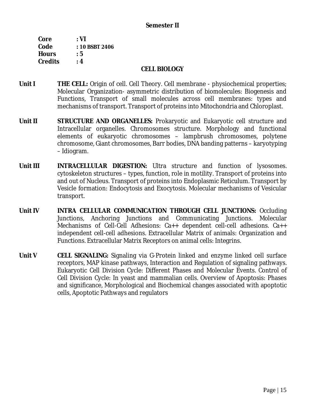### **Semester II**

| Core           | : VI           |
|----------------|----------------|
| Code           | : 10 BSBT 2406 |
| <b>Hours</b>   | : 5            |
| <b>Credits</b> | : 4            |

#### **CELL BIOLOGY**

- **Unit I THE CELL:** Origin of cell. Cell Theory. Cell membrane physiochemical properties; Molecular Organization- asymmetric distribution of biomolecules: Biogenesis and Functions, Transport of small molecules across cell membranes: types and mechanisms of transport. Transport of proteins into Mitochondria and Chloroplast.
- **Unit II STRUCTURE AND ORGANELLES:** Prokaryotic and Eukaryotic cell structure and Intracellular organelles. Chromosomes structure. Morphology and functional elements of eukaryotic chromosomes – lampbrush chromosomes, polytene chromosome, Giant chromosomes, Barr bodies, DNA banding patterns – karyotyping – Idiogram.
- **Unit III INTRACELLULAR DIGESTION:** Ultra structure and function of lysosomes. cytoskeleton structures – types, function, role in motility. Transport of proteins into and out of Nucleus. Transport of proteins into Endoplasmic Reticulum. Transport by Vesicle formation: Endocytosis and Exocytosis. Molecular mechanisms of Vesicular transport.
- **Unit IV INTRA CELLULAR COMMUNICATION THROUGH CELL JUNCTIONS:** Occluding Junctions, Anchoring Junctions and Communicating Junctions. Molecular Mechanisms of Cell-Cell Adhesions: Ca++ dependent cell-cell adhesions. Ca++ independent cell-cell adhesions. Extracellular Matrix of animals: Organization and Functions. Extracellular Matrix Receptors on animal cells: Integrins.
- **Unit V CELL SIGNALING:** Signaling via G-Protein linked and enzyme linked cell surface receptors, MAP kinase pathways, Interaction and Regulation of signaling pathways. Eukaryotic Cell Division Cycle: Different Phases and Molecular Events. Control of Cell Division Cycle: In yeast and mammalian cells. Overview of Apoptosis: Phases and significance, Morphological and Biochemical changes associated with apoptotic cells, Apoptotic Pathways and regulators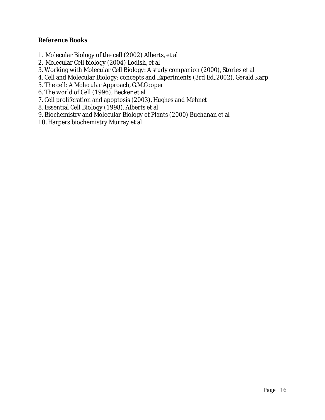**Reference Books** 

- 1. Molecular Biology of the cell (2002) Alberts, et al
- 2. Molecular Cell biology (2004) Lodish, et al
- 3. Working with Molecular Cell Biology: A study companion (2000), Stories et al
- 4. Cell and Molecular Biology: concepts and Experiments (3rd Ed,.2002), Gerald Karp
- 5. The cell: A Molecular Approach, G.M.Cooper
- 6. The world of Cell (1996), Becker et al
- 7. Cell proliferation and apoptosis (2003), Hughes and Mehnet
- 8. Essential Cell Biology (1998), Alberts et al
- 9. Biochemistry and Molecular Biology of Plants (2000) Buchanan et al
- 10. Harpers biochemistry Murray et al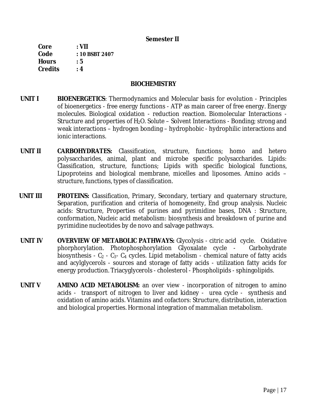#### **Semester II**

**Core : VII Code : 10 BSBT 2407 Hours : 5 Credits : 4** 

#### **BIOCHEMISTRY**

- **UNIT I BIOENERGETICS**: Thermodynamics and Molecular basis for evolution Principles of bioenergetics - free energy functions - ATP as main career of free energy. Energy molecules. Biological oxidation - reduction reaction. Biomolecular Interactions - Structure and properties of  $H_2O$ . Solute – Solvent Interactions - Bonding; strong and weak interactions – hydrogen bonding – hydrophobic - hydrophilic interactions and ionic interactions.
- **UNIT II CARBOHYDRATES:** Classification, structure, functions; homo and hetero polysaccharides, animal, plant and microbe specific polysaccharides. Lipids: Classification, structure, functions; Lipids with specific biological functions, Lipoproteins and biological membrane, micelles and liposomes. Amino acids – structure, functions, types of classification.
- **UNIT III PROTEINS:** Classification, Primary, Secondary, tertiary and quaternary structure, Separation, purification and criteria of homogeneity, End group analysis. Nucleic acids: Structure, Properties of purines and pyrimidine bases, DNA : Structure, conformation, Nucleic acid metabolism: biosynthesis and breakdown of purine and pyrimidine nucleotides by de novo and salvage pathways.
- **UNIT IV OVERVIEW OF METABOLIC PATHWAYS:** Glycolysis citric acid cycle. Oxidative phorphorylation. Photophosphorylation Glyoxalate cycle - Carbohydrate biosynthesis -  $C_2$  -  $C_3$ -  $C_4$  cycles. Lipid metabolism - chemical nature of fatty acids and acylglycerols - sources and storage of fatty acids - utilization fatty acids for energy production. Triacyglycerols - cholesterol - Phospholipids - sphingolipids.
- **UNIT V AMINO ACID METABOLISM:** an over view incorporation of nitrogen to amino acids - transport of nitrogen to liver and kidney - urea cycle - synthesis and oxidation of amino acids. Vitamins and cofactors: Structure, distribution, interaction and biological properties. Hormonal integration of mammalian metabolism.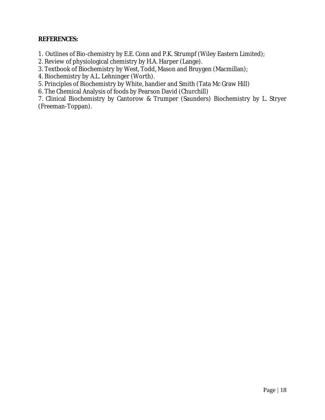**REFERENCES:** 

1. Outlines of Bio-chemistry by E.E. Conn and P.K. Strumpf (Wiley Eastern Limited);

2. Review of physiological chemistry by H.A. Harper (Lange).

3. Textbook of Biochemistry by West, Todd, Mason and Bruygen (Macmillan);

4. Biochemistry by A.L. Lehninger (Worth).

5. Principles of Biochemistry by White, handier and Smith (Tata Mc Graw Hill)

6. The Chemical Analysis of foods by Pearson David (Churchill)

7. Clinical Biochemistry by Cantorow & Trumper (Saunders) Biochemistry by L. Stryer (Freeman-Toppan).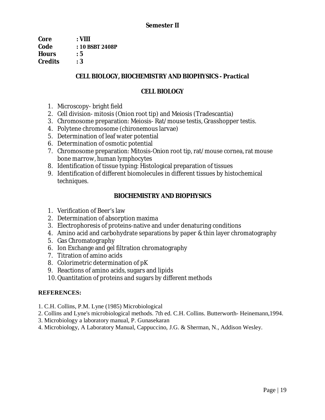**Core : VIII Code : 10 BSBT 2408P Hours : 5 Credits : 3** 

## **CELL BIOLOGY, BIOCHEMISTRY AND BIOPHYSICS - Practical**

## **CELL BIOLOGY**

- 1. Microscopy- bright field
- 2. Cell division- mitosis (Onion root tip) and Meiosis (Tradescantia)
- 3. Chromosome preparation: Meiosis- Rat/mouse testis, Grasshopper testis.
- 4. Polytene chromosome (chironemous larvae)
- 5. Determination of leaf water potential
- 6. Determination of osmotic potential
- 7. Chromosome preparation: Mitosis-Onion root tip, rat/mouse cornea, rat mouse bone marrow, human lymphocytes
- 8. Identification of tissue typing: Histological preparation of tissues
- 9. Identification of different biomolecules in different tissues by histochemical techniques.

## **BIOCHEMISTRY AND BIOPHYSICS**

- 1. Verification of Beer's law
- 2. Determination of absorption maxima
- 3. Electrophoresis of proteins-native and under denaturing conditions
- 4. Amino acid and carbohydrate separations by paper & thin layer chromatography
- 5. Gas Chromatography
- 6. Ion Exchange and gel filtration chromatography
- 7. Titration of amino acids
- 8. Colorimetric determination of pK
- 9. Reactions of amino acids, sugars and lipids
- 10. Quantitation of proteins and sugars by different methods

## **REFERENCES:**

- 1. C.H. Collins, P.M. Lyne (1985) Microbiological
- 2. Collins and Lyne's microbiological methods. 7th ed. C.H. Collins. Butterworth- Heinemann,1994.
- 3. Microbiology a laboratory manual, P. Gunasekaran
- 4. Microbiology, A Laboratory Manual, Cappuccino, J.G. & Sherman, N., Addison Wesley.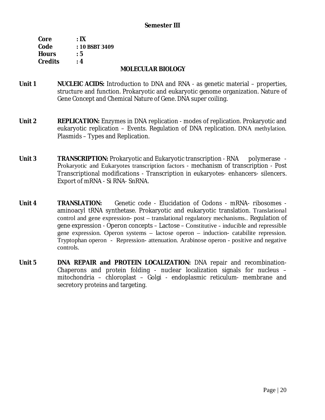### **Semester III**

| Core           | $\cdot$ IX     |
|----------------|----------------|
| Code           | : 10 BSBT 3409 |
| <b>Hours</b>   | : 5            |
| <b>Credits</b> | : 4            |

#### **MOLECULAR BIOLOGY**

- **Unit 1 NUCLEIC ACIDS:** Introduction to DNA and RNA as genetic material properties, structure and function. Prokaryotic and eukaryotic genome organization. Nature of Gene Concept and Chemical Nature of Gene. DNA super coiling.
- Unit 2 **REPLICATION: Enzymes in DNA replication modes of replication. Prokaryotic and** eukaryotic replication – Events. Regulation of DNA replication. DNA methylation. Plasmids – Types and Replication.
- **Unit 3 TRANSCRIPTION:** Prokaryotic and Eukaryotic transcription RNA polymerase Prokaryotic and Eukaryotes transcription factors - mechanism of transcription - Post Transcriptional modifications - Transcription in eukaryotes- enhancers- silencers. Export of mRNA - Si RNA- SnRNA.
- Unit 4 **TRANSLATION:** Genetic code Elucidation of Codons mRNA- ribosomes aminoacyl tRNA synthetase. Prokaryotic and eukaryotic translation. Translational control and gene expression- post – translational regulatory mechanisms.. Regulation of gene expression - Operon concepts – Lactose – Constitutive - inducible and repressible gene expression. Operon systems – lactose operon – induction- catabilite repression. Tryptophan operon - Repression- attenuation. Arabinose operon - positive and negative controls.
- **Unit 5 DNA REPAIR and PROTEIN LOCALIZATION:** DNA repair and recombination-Chaperons and protein folding - nuclear localization signals for nucleus – mitochondria – chloroplast – Golgi - endoplasmic reticulum- membrane and secretory proteins and targeting.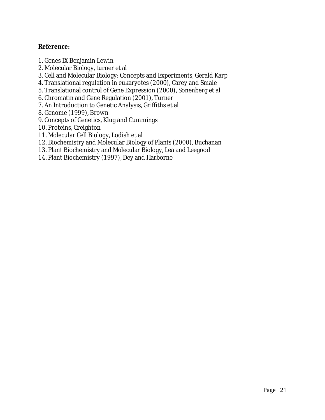**Reference:** 

- 1. Genes IX Benjamin Lewin
- 2. Molecular Biology, turner et al
- 3. Cell and Molecular Biology: Concepts and Experiments, Gerald Karp
- 4. Translational regulation in eukaryotes (2000), Carey and Smale
- 5. Translational control of Gene Expression (2000), Sonenberg et al
- 6. Chromatin and Gene Regulation (2001), Turner
- 7. An Introduction to Genetic Analysis, Griffiths et al
- 8. Genome (1999), Brown
- 9. Concepts of Genetics, Klug and Cummings
- 10. Proteins, Creighton
- 11. Molecular Cell Biology, Lodish et al
- 12. Biochemistry and Molecular Biology of Plants (2000), Buchanan
- 13. Plant Biochemistry and Molecular Biology, Lea and Leegood
- 14. Plant Biochemistry (1997), Dey and Harborne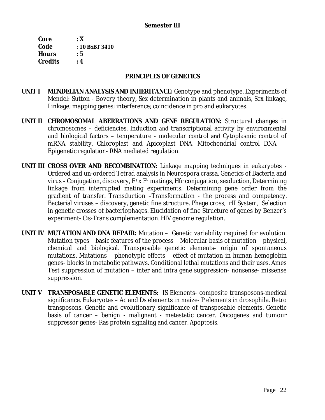**Core : X Code** : **10 BSBT 3410 Hours : 5 Credits : 4** 

#### **PRINCIPLES OF GENETICS**

- **UNIT I MENDELIAN ANALYSIS AND INHERITANCE:** Genotype and phenotype, Experiments of Mendel: Sutton - Bovery theory, Sex determination in plants and animals, Sex linkage, Linkage; mapping genes; interference; coincidence in pro and eukaryotes.
- **UNIT II CHROMOSOMAL ABERRATIONS AND GENE REGULATION:** Structural changes in chromosomes – deficiencies, Induction and transcriptional activity by environmental and biological factors – temperature - molecular control and Cytoplasmic control of mRNA stability. Chloroplast and Apicoplast DNA. Mitochondrial control DNA - Epigenetic regulation- RNA mediated regulation.
- **UNIT III CROSS OVER AND RECOMBINATION:** Linkage mapping techniques in eukaryotes Ordered and un-ordered Tetrad analysis in Neurospora crassa. Genetics of Bacteria and virus - Conjugation, discovery,  $F^+x$   $F^-$  matings, Hfr conjugation, sexduction, Determining linkage from interrupted mating experiments. Determining gene order from the gradient of transfer. Transduction –Transformation - the process and competency. Bacterial viruses – discovery, genetic fine structure. Phage cross, rII System, Selection in genetic crosses of bacteriophages. Elucidation of fine Structure of genes by Benzer's experiment- Cis-Trans complementation. HIV genome regulation.
- **UNIT IV MUTATION AND DNA REPAIR:** Mutation Genetic variability required for evolution. Mutation types – basic features of the process – Molecular basis of mutation – physical, chemical and biological. Transposable genetic elements- origin of spontaneous mutations. Mutations – phenotypic effects – effect of mutation in human hemoglobin genes- blocks in metabolic pathways. Conditional lethal mutations and their uses. Ames Test suppression of mutation – inter and intra gene suppression- nonsense- missense suppression.
- **UNIT V TRANSPOSABLE GENETIC ELEMENTS:** IS Elements- composite transposons-medical significance. Eukaryotes – Ac and Ds elements in maize- P elements in drosophila. Retro transposons. Genetic and evolutionary significance of transposable elements. Genetic basis of cancer – benign - malignant - metastatic cancer. Oncogenes and tumour suppressor genes- Ras protein signaling and cancer. Apoptosis.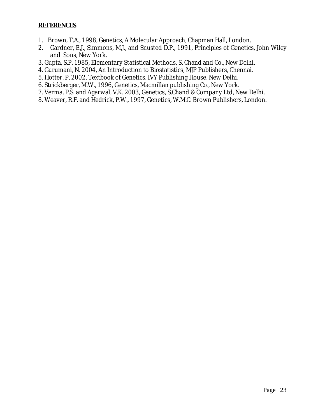- 1. Brown, T.A., 1998, Genetics, A Molecular Approach, Chapman Hall, London.
- 2. Gardner, E.J., Simmons, M.J., and Snusted D.P., 1991, Principles of Genetics, John Wiley and Sons, New York.
- 3. Gupta, S.P. 1985, Elementary Statistical Methods, S. Chand and Co., New Delhi.
- 4. Gurumani, N. 2004, An Introduction to Biostatistics, MJP Publishers, Chennai.
- 5. Hotter, P, 2002, Textbook of Genetics, IVY Publishing House, New Delhi.
- 6. Strickberger, M.W., 1996, Genetics, Macmillan publishing Co., New York.
- 7. Verma, P.S. and Agarwal, V.K. 2003, Genetics, S.Chand & Company Ltd, New Delhi.
- 8. Weaver, R.F. and Hedrick, P.W., 1997, Genetics, W.M.C. Brown Publishers, London.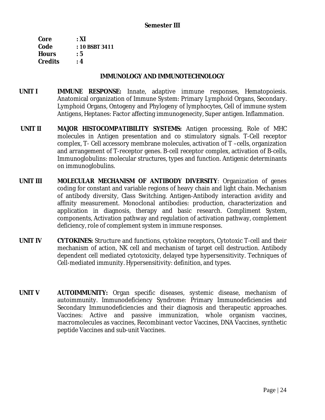| Core           | : XI           |
|----------------|----------------|
| Code           | : 10 BSBT 3411 |
| <b>Hours</b>   | : 5            |
| <b>Credits</b> | : 4            |

#### **IMMUNOLOGY AND IMMUNOTECHNOLOGY**

- **UNIT I IMMUNE RESPONSE:** Innate, adaptive immune responses, Hematopoiesis. Anatomical organization of Immune System: Primary Lymphoid Organs, Secondary. Lymphoid Organs, Ontogeny and Phylogeny of lymphocytes, Cell of immune system Antigens, Heptanes: Factor affecting immunogenecity, Super antigen. Inflammation.
- **UNIT II MAJOR HISTOCOMPATIBILITY SYSTEMS:** Antigen processing, Role of MHC molecules in Antigen presentation and co stimulatory signals. T-Cell receptor complex, T- Cell accessory membrane molecules, activation of T –cells, organization and arrangement of T-receptor genes. B-cell receptor complex, activation of B-cells, Immunoglobulins: molecular structures, types and function. Antigenic determinants on immunoglobulins.
- **UNIT III MOLECULAR MECHANISM OF ANTIBODY DIVERSITY**: Organization of genes coding for constant and variable regions of heavy chain and light chain. Mechanism of antibody diversity, Class Switching. Antigen-Antibody interaction avidity and affinity measurement. Monoclonal antibodies: production, characterization and application in diagnosis, therapy and basic research. Compliment System, components, Activation pathway and regulation of activation pathway, complement deficiency, role of complement system in immune responses.
- **UNIT IV CYTOKINES:** Structure and functions, cytokine receptors, Cytotoxic T-cell and their mechanism of action, NK cell and mechanism of target cell destruction. Antibody dependent cell mediated cytotoxicity, delayed type hypersensitivity. Techniques of Cell-mediated immunity. Hypersensitivity: definition, and types.
- **UNIT V AUTOIMMUNITY:** Organ specific diseases, systemic disease, mechanism of autoimmunity. Immunodeficiency Syndrome: Primary Immunodeficiencies and Secondary Immunodeficiencies and their diagnosis and therapeutic approaches. Vaccines: Active and passive immunization, whole organism vaccines, macromolecules as vaccines, Recombinant vector Vaccines, DNA Vaccines, synthetic peptide Vaccines and sub-unit Vaccines.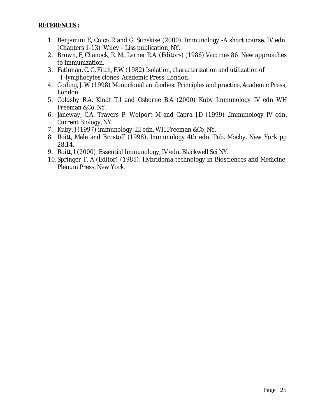- 1. Benjamini E, Coico R and G. Sunskise (2000). Immunology -A short course. IV edn. (Chapters 1-13) .Wiley – Liss publication, NY.
- 2. Brown, F, Chanock, R. M., Lerner R.A. (Editors) (1986) Vaccines 86: New approaches to Immunization.
- 3. Fathman, C. G. Fitch, F.W (1982) Isolation, characterization and utilization of T-lymphocytes clones, Academic Press, London.
- 4. Goding, J. W (1998) Monoclonal antibodies: Principles and practice, Academic Press, London.
- 5. Goldsby R.A. Kindt T.I and Osborne B.A (2000) Kuby Immunology IV edn WH Freeman &Co, NY.
- 6. Janeway, C.A. Travers P. Wolport M and Capra J.D (1999) .Immunology IV edn. Current Biology, NY.
- 7. Kuby, J (1997) immunology, III edn, WH Freeman &Co, NY.
- 8. Roitt, Male and Brostoff (1998). Immunology 4th edn. Pub. Mocby, New York pp 28.14.
- 9. Roitt, I (2000). Essential Immunology, IV edn. Blackwell Sci NY.
- 10.Springer T. A (Editor) (1985). Hybridoma technology in Biosciences and Medicine, Plenum Press, New York.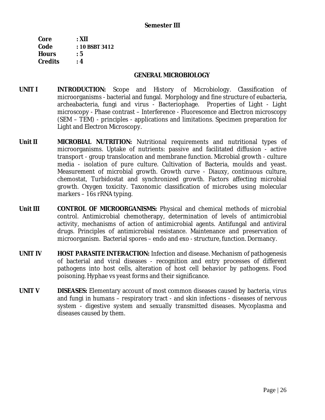### **Semester III**

| Core           | : XII          |
|----------------|----------------|
| Code           | : 10 BSBT 3412 |
| <b>Hours</b>   | : 5            |
| <b>Credits</b> | : 4            |

#### **GENERAL MICROBIOLOGY**

- **UNIT I INTRODUCTION:** Scope and History of Microbiology. Classification of microorganisms - bacterial and fungal. Morphology and fine structure of eubacteria, archeabacteria, fungi and virus - Bacteriophage. Properties of Light - Light microscopy - Phase contrast – Interference - Fluorescence and Electron microscopy (SEM – TEM) - principles - applications and limitations. Specimen preparation for Light and Electron Microscopy.
- **Unit II MICROBIAL NUTRITION:** Nutritional requirements and nutritional types of microorganisms. Uptake of nutrients: passive and facilitated diffusion - active transport - group translocation and membrane function. Microbial growth - culture media - isolation of pure culture. Cultivation of Bacteria, moulds and yeast. Measurement of microbial growth. Growth curve - Diauxy, continuous culture, chemostat, Turbidostat and synchronized growth. Factors affecting microbial growth. Oxygen toxicity. Taxonomic classification of microbes using molecular markers – 16s rRNA typing.
- **Unit III CONTROL OF MICROORGANISMS:** Physical and chemical methods of microbial control. Antimicrobial chemotherapy, determination of levels of antimicrobial activity, mechanisms of action of antimicrobial agents. Antifungal and antiviral drugs. Principles of antimicrobial resistance. Maintenance and preservation of microorganism. Bacterial spores – endo and exo - structure, function. Dormancy.
- **UNIT IV HOST PARASITE INTERACTION:** Infection and disease. Mechanism of pathogenesis of bacterial and viral diseases - recognition and entry processes of different pathogens into host cells, alteration of host cell behavior by pathogens. Food poisoning. Hyphae vs yeast forms and their significance.
- **UNIT V DISEASES:** Elementary account of most common diseases caused by bacteria, virus and fungi in humans – respiratory tract - and skin infections - diseases of nervous system - digestive system and sexually transmitted diseases. Mycoplasma and diseases caused by them.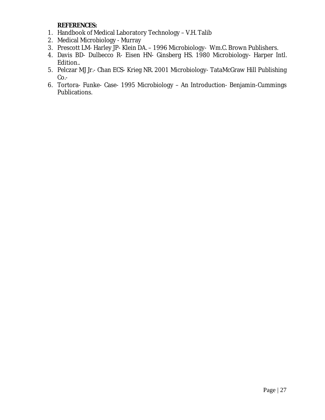**REFERENCES:** 

- 1. Handbook of Medical Laboratory Technology V.H. Talib
- 2. Medical Microbiology Murray
- 3. Prescott LM- Harley JP- Klein DA. 1996 Microbiology- Wm.C. Brown Publishers.
- 4. Davis BD- Dulbecco R- Eisen HN- Ginsberg HS. 1980 Microbiology- Harper Intl. Edition..
- 5. Pelczar MJ Jr.- Chan ECS- Krieg NR. 2001 Microbiology- TataMcGraw Hill Publishing  $Co.$
- 6. Tortora- Funke- Case- 1995 Microbiology An Introduction- Benjamin-Cummings Publications.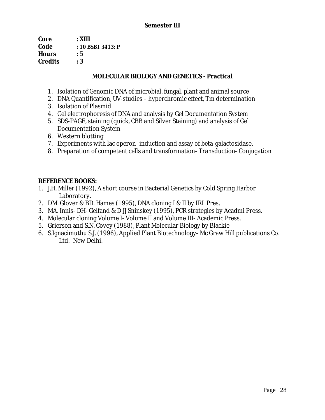| Core           | : XIII              |
|----------------|---------------------|
| Code           | $: 10$ BSBT 3413: P |
| <b>Hours</b>   | : 5                 |
| <b>Credits</b> | : 3                 |

## **MOLECULAR BIOLOGY AND GENETICS - Practical**

- 1. Isolation of Genomic DNA of microbial, fungal, plant and animal source
- 2. DNA Quantification, UV-studies hyperchromic effect, Tm determination
- 3. Isolation of Plasmid
- 4. Gel electrophoresis of DNA and analysis by Gel Documentation System
- 5. SDS-PAGE, staining (quick, CBB and Silver Staining) and analysis of Gel Documentation System
- 6. Western blotting
- 7. Experiments with lac operon- induction and assay of beta-galactosidase.
- 8. Preparation of competent cells and transformation- Transduction- Conjugation

## **REFERENCE BOOKS:**

- 1. J.H. Miller (1992), A short course in Bacterial Genetics by Cold Spring Harbor Laboratory.
- 2. DM. Glover & BD. Hames (1995), DNA cloning I & II by IRL Pres.
- 3. MA. Innis- DH- Gelfand & D JJ Sninskey (1995), PCR strategies by Acadmi Press.
- 4. Molecular cloning Volume I- Volume II and Volume III- Academic Press.
- 5. Grierson and S.N. Covey (1988), Plant Molecular Biology by Blackie
- 6. S.Ignacimuthu S.J. (1996), Applied Plant Biotechnology- Mc Graw Hill publications Co. Ltd.- New Delhi.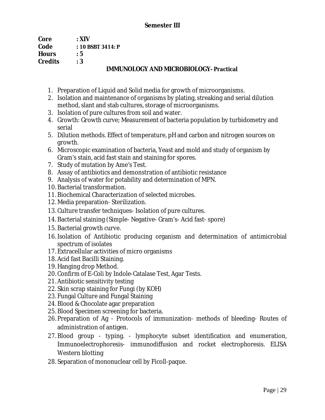## **Semester III**

| Core           | : XIV             |
|----------------|-------------------|
| Code           | : 10 BSBT 3414: P |
| <b>Hours</b>   | : 5               |
| <b>Credits</b> | :3                |
|                | TI EI ETTITAT     |

## **IMMUNOLOGY AND MICROBIOLOGY- Practical**

- 1. Preparation of Liquid and Solid media for growth of microorganisms.
- 2. Isolation and maintenance of organisms by plating, streaking and serial dilution method, slant and stab cultures, storage of microorganisms.
- 3. Isolation of pure cultures from soil and water.
- 4. Growth: Growth curve; Measurement of bacteria population by turbidometry and serial
- 5. Dilution methods. Effect of temperature, pH and carbon and nitrogen sources on growth.
- 6. Microscopic examination of bacteria, Yeast and mold and study of organism by Gram's stain, acid fast stain and staining for spores.
- 7. Study of mutation by Ame's Test.
- 8. Assay of antibiotics and demonstration of antibiotic resistance
- 9. Analysis of water for potability and determination of MPN.
- 10. Bacterial transformation.
- 11. Biochemical Characterization of selected microbes.
- 12. Media preparation- Sterilization.
- 13. Culture transfer techniques- Isolation of pure cultures.
- 14. Bacterial staining (Simple- Negative- Gram's- Acid fast- spore)
- 15. Bacterial growth curve.
- 16. Isolation of Antibiotic producing organism and determination of antimicrobial spectrum of isolates
- 17. Extracellular activities of micro organisms
- 18. Acid fast Bacilli Staining.
- 19. Hanging drop Method.
- 20. Confirm of E-Coli by Indole-Catalase Test, Agar Tests.
- 21. Antibiotic sensitivity testing
- 22.Skin scrap staining for Fungi (by KOH)
- 23. Fungal Culture and Fungal Staining
- 24. Blood & Chocolate agar preparation
- 25. Blood Specimen screening for bacteria.
- 26. Preparation of Ag Protocols of immunization- methods of bleeding- Routes of administration of antigen.
- 27. Blood group typing. lymphocyte subset identification and enumeration, Immunoelectrophoresis- immunodiffusion and rocket electrophoresis. ELISA Western blotting
- 28.Separation of mononuclear cell by Ficoll-paque.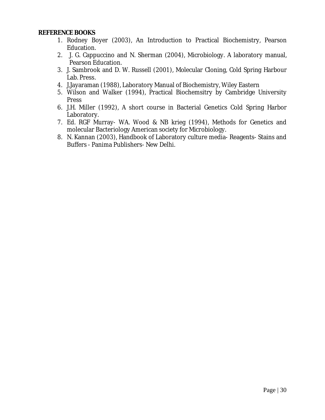### **REFERENCE BOOKS**

- 1. Rodney Boyer (2003), An Introduction to Practical Biochemistry, Pearson Education.
- 2. J. G. Cappuccino and N. Sherman (2004), Microbiology. A laboratory manual, Pearson Education.
- 3. J. Sambrook and D. W. Russell (2001), Molecular Cloning, Cold Spring Harbour Lab. Press.
- 4. J.Jayaraman (1988), Laboratory Manual of Biochemistry, Wiley Eastern
- 5. Wilson and Walker (1994), Practical Biochemsitry by Cambridge University Press
- 6. J.H. Miller (1992), A short course in Bacterial Genetics Cold Spring Harbor Laboratory.
- 7. Ed. RGF Murray- WA. Wood & NB krieg (1994), Methods for Genetics and molecular Bacteriology American society for Microbiology.
- 8. N. Kannan (2003), Handbook of Laboratory culture media- Reagents- Stains and Buffers - Panima Publishers- New Delhi.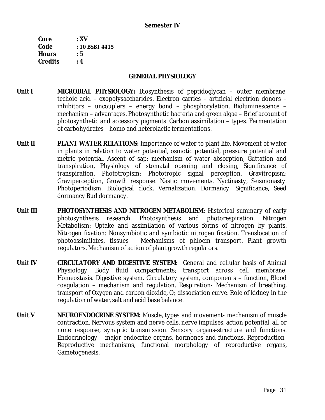| Core           | $:$ XV           |
|----------------|------------------|
| Code           | $: 10$ BSBT 4415 |
| <b>Hours</b>   | : 5              |
| <b>Credits</b> | : 4              |

### **GENERAL PHYSIOLOGY**

- **Unit I MICROBIAL PHYSIOLOGY:** Biosynthesis of peptidoglycan outer membrane, techoic acid – exopolysaccharides. Electron carries – artificial electrion donors – inhibitors – uncouplers – energy bond – phosphorylation. Bioluminescence – mechanism – advantages. Photosynthetic bacteria and green algae – Brief account of photosynthetic and accessory pigments. Carbon assimilation – types. Fermentation of carbohydrates – homo and heterolactic fermentations.
- **Unit II PLANT WATER RELATIONS:** Importance of water to plant life. Movement of water in plants in relation to water potential, osmotic potential, pressure potential and metric potential. Ascent of sap: mechanism of water absorption, Guttation and transpiration, Physiology of stomatal opening and closing, Significance of transpiration. Phototropism: Phototropic signal perception, Gravitropism: Graviperception, Growth response. Nastic movements. Nyctinasty, Seismonasty. Photoperiodism. Biological clock. Vernalization. Dormancy: Significance, Seed dormancy Bud dormancy.
- **Unit III PHOTOSYNTHESIS AND NITROGEN METABOLISM:** Historical summary of early photosynthesis research. Photosynthesis and photorespiration. Nitrogen Metabolism: Uptake and assimilation of various forms of nitrogen by plants. Nitrogen fixation: Nonsymbiotic and symbiotic nitrogen fixation. Translocation of photoassimilates, tissues - Mechanisms of phloem transport. Plant growth regulators. Mechanism of action of plant growth regulators.
- **Unit IV CIRCULATORY AND DIGESTIVE SYSTEM:** General and cellular basis of Animal Physiology. Body fluid compartments; transport across cell membrane, Homeostasis. Digestive system. Circulatory system, components – function, Blood coagulation – mechanism and regulation. Respiration- Mechanism of breathing, transport of Oxygen and carbon dioxide,  $O_2$  dissociation curve. Role of kidney in the regulation of water, salt and acid base balance.
- **Unit V NEUROENDOCRINE SYSTEM:** Muscle, types and movement- mechanism of muscle contraction. Nervous system and nerve cells, nerve impulses, action potential, all or none response, synaptic transmission. Sensory organs-structure and functions. Endocrinology – major endocrine organs, hormones and functions. Reproduction-Reproductive mechanisms, functional morphology of reproductive organs, Gametogenesis.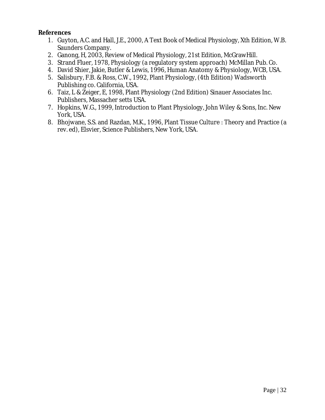## **References**

- 1. Guyton, A.C. and Hall, J.E., 2000, A Text Book of Medical Physiology, Xth Edition, W.B. Saunders Company.
- 2. Ganong, H, 2003, Review of Medical Physiology, 21st Edition, McGrawHill.
- 3. Strand Fluer, 1978, Physiology (a regulatory system approach) McMillan Pub. Co.
- 4. David Shier, Jakie, Butler & Lewis, 1996, Human Anatomy & Physiology, WCB, USA.
- 5. Salisbury, F.B. & Ross, C.W., 1992, Plant Physiology, (4th Edition) Wadsworth Publishing co. California, USA.
- 6. Taiz, L & Zeiger, E, 1998, Plant Physiology (2nd Edition) Sinauer Associates Inc. Publishers, Massacher setts USA.
- 7. Hopkins, W.G., 1999, Introduction to Plant Physiology, John Wiley & Sons, Inc. New York, USA.
- 8. Bhojwane, S.S. and Razdan, M.K., 1996, Plant Tissue Culture : Theory and Practice (a rev. ed), Elsvier, Science Publishers, New York, USA.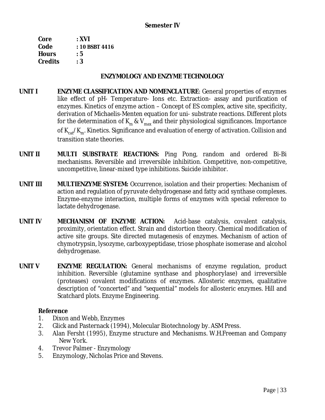| : XVI          |
|----------------|
| : 10 BSBT 4416 |
| : 5            |
| : 3            |
|                |

### **ENZYMOLOGY AND ENZYME TECHNOLOGY**

- **UNIT I ENZYME CLASSIFICATION AND NOMENCLATURE**: General properties of enzymes like effect of pH- Temperature- Ions etc. Extraction- assay and purification of enzymes. Kinetics of enzyme action – Concept of ES complex, active site, specificity, derivation of Michaelis-Menten equation for uni- substrate reactions. Different plots for the determination of K<sub>m</sub> & V<sub>max</sub> and their physiological significances. Importance of  $\rm K_{cat}/K_{m}$ . Kinetics. Significance and evaluation of energy of activation. Collision and transition state theories.
- **UNIT II MULTI SUBSTRATE REACTIONS:** Ping Pong, random and ordered Bi-Bi mechanisms. Reversible and irreversible inhibition. Competitive, non-competitive, uncompetitive, linear-mixed type inhibitions. Suicide inhibitor.
- **UNIT III MULTIENZYME SYSTEM:** Occurrence, isolation and their properties: Mechanism of action and regulation of pyruvate dehydrogenase and fatty acid synthase complexes. Enzyme-enzyme interaction, multiple forms of enzymes with special reference to lactate dehydrogenase.
- **UNIT IV MECHANISM OF ENZYME ACTION:** Acid-base catalysis, covalent catalysis, proximity, orientation effect. Strain and distortion theory. Chemical modification of active site groups. Site directed mutagenesis of enzymes. Mechanism of action of chymotrypsin, lysozyme, carboxypeptidase, triose phosphate isomerase and alcohol dehydrogenase.
- **UNIT V ENZYME REGULATION:** General mechanisms of enzyme regulation, product inhibition. Reversible (glutamine synthase and phosphorylase) and irreversible (proteases) covalent modifications of enzymes. Allosteric enzymes, qualitative description of "concerted" and "sequential" models for allosteric enzymes. Hill and Scatchard plots. Enzyme Engineering.

## **Reference**

- 1. Dixon and Webb, Enzymes
- 2. Glick and Pasternack (1994), Molecular Biotechnology by. ASM Press.
- 3. Alan Fersht (1995), Enzyme structure and Mechanisms. W.H.Freeman and Company New York.
- 4. Trevor Palmer Enzymology
- 5. Enzymology, Nicholas Price and Stevens.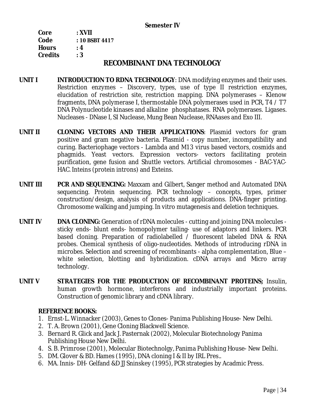### **Semester IV**

| Core           | : XVII         |
|----------------|----------------|
| Code           | : 10 BSBT 4417 |
| <b>Hours</b>   | : 4            |
| <b>Credits</b> | : 3            |

## **RECOMBINANT DNA TECHNOLOGY**

- **UNIT I INTRODUCTION TO RDNA TECHNOLOGY**: DNA modifying enzymes and their uses. Restriction enzymes – Discovery, types, use of type II restriction enzymes, elucidation of restriction site, restriction mapping. DNA polymerases – Klenow fragments, DNA polymerase I, thermostable DNA polymerases used in PCR, T4 / T7 DNA Polynucleotide kinases and alkaline phosphatases. RNA polymerases. Ligases. Nucleases - DNase I, SI Nuclease, Mung Bean Nuclease, RNAases and Exo III.
- **UNIT II CLONING VECTORS AND THEIR APPLICATIONS**: Plasmid vectors for gram positive and gram negative bacteria. Plasmid - copy number, incompatibility and curing. Bacteriophage vectors - Lambda and M13 virus based vectors, cosmids and phagmids. Yeast vectors. Expression vectors- vectors facilitating protein purification, gene fusion and Shuttle vectors. Artificial chromosomes - BAC-YAC-HAC. Inteins (protein introns) and Exteins.
- **UNIT III PCR AND SEQUENCING:** Maxxam and Gilbert, Sanger method and Automated DNA sequencing. Protein sequencing. PCR technology – concepts, types, primer construction/design, analysis of products and applications. DNA-finger printing. Chromosome walking and jumping. In vitro mutagenesis and deletion techniques.
- **UNIT IV DNA CLONING:** Generation of rDNA molecules cutting and joining DNA molecules sticky ends- blunt ends- homopolymer tailing- use of adaptors and linkers. PCR based cloning. Preparation of radiolabelled / fluorescent labeled DNA & RNA probes. Chemical synthesis of oligo-nucleotides. Methods of introducing rDNA in microbes. Selection and screening of recombinants - alpha complementation, Blue – white selection, blotting and hybridization. cDNA arrays and Micro array technology.
- **UNIT V STRATEGIES FOR THE PRODUCTION OF RECOMBINANT PROTEINS;** Insulin, human growth hormone, interferons and industrially important proteins. Construction of genomic library and cDNA library.

**REFERENCE BOOKS:** 

- 1. Ernst-L. Winnacker (2003), Genes to Clones- Panima Publishing House- New Delhi.
- 2. T. A. Brown (2001), Gene Cloning Blackwell Science.
- 3. Bernard R. Glick and Jack J. Pasternak (2002), Molecular Biotechnology Panima Publishing House New Delhi.
- 4. S. B. Primrose (2001), Molecular Biotechnolgy, Panima Publishing House- New Delhi.
- 5. DM. Glover & BD. Hames (1995), DNA cloning I & II by IRL Pres..
- 6. MA. Innis- DH- Gelfand &D JJ Sninskey (1995), PCR strategies by Acadmic Press.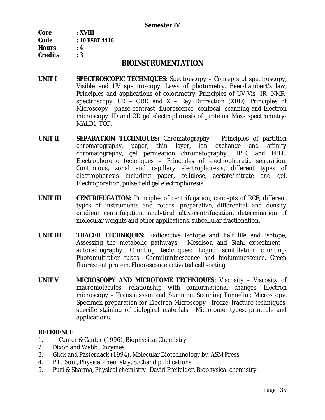| Core           | : XVIII        |
|----------------|----------------|
| Code           | : 10 BSBT 4418 |
| <b>Hours</b>   | : 4            |
| <b>Credits</b> | : 3            |

## **BIOINSTRUMENTATION**

- **UNIT I SPECTROSCOPIC TECHNIQUES:** Spectroscopy Concepts of spectroscopy, Visible and UV spectroscopy, Laws of photometry. Beer-Lambert's law, Principles and applications of colorimetry. Principles of UV-Vis- IR- NMRspectroscopy.  $CD - ORD$  and  $X - Ray$  Diffraction (XRD). Principles of Microscopy - phase contrast- fluorescence- confocal- scanning and Electron microscopy. ID and 2D gel electrophoresis of proteins. Mass spectrometry-MALD1-TOF.
- **UNIT II SEPARATION TECHNIQUES:** Chromatography Principles of partition chromatography, paper, thin layer, ion exchange and affinity chromatography, gel permeation chromatography, HPLC and FPLC. Electrophoretic techniques – Principles of electrophoretic separation. Continuous, zonal and capillary electrophoresis, different types of electrophoresis including paper, cellulose, acetate/nitrate and gel. Electroporation, pulse field gel electrophoresis.
- **UNIT III CENTRIFUGATION:** Principles of centrifugation, concepts of RCF, different types of instruments and rotors, preparative, differential and density gradient centrifugation, analytical ultra-centrifugation, determination of molecular weights and other applications, subcellular fractionation.
- **UNIT III TRACER TECHNIQUES:** Radioactive isotope and half life and isotope; Assessing the metabolic pathways - Meselson and Stahl experiment autoradiography. Counting techniques: Liquid scintillation counting-Photomultiplier tubes- Chemiluminescence and bioluminescence. Green fluorescent protein. Fluorescence activated cell sorting.
- **UNIT V MICROSCOPY AND MICROTOME TECHNIQUES:** Viscosity Viscosity of macromolecules, relationship with conformational changes. Electron microscopy – Transmission and Scanning. Scanning Tunneling Microscopy. Specimen preparation for Electron Microscopy - freeze, fracture techniques, specific staining of biological materials. Microtome: types, principle and applications.

### **REFERENCE**

- 1. Canter & Canter (1996), Biophysical Chemistry
- 2. Dixon and Webb, Enzymes
- 3. Glick and Pasternack (1994), Molecular Biotechnology by. ASM Press
- 4. P.L.. Soni, Physical chemistry, S. Chand publications
- 5. Puri & Sharma, Physical chemistry- David Freifelder, Biophysical chemistry-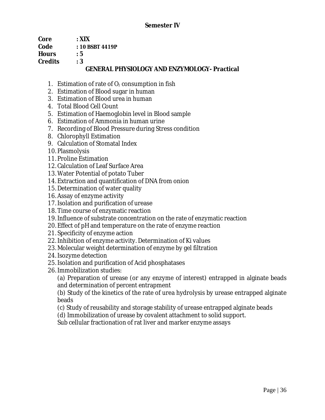## **Semester IV**

| Core    | $\cdot$ XIX                                         |
|---------|-----------------------------------------------------|
| Code    | $:10$ BSBT 4419P                                    |
| Hours   | $\cdot$ 5                                           |
| Credits | $\cdot$ 3                                           |
|         | <b>GENERAL PHYSIOLOGY AND ENZYMOLOGY- Practical</b> |

- 1. Estimation of rate of  $O<sub>2</sub>$  consumption in fish
- 2. Estimation of Blood sugar in human
- 3. Estimation of Blood urea in human
- 4. Total Blood Cell Count
- 5. Estimation of Haemoglobin level in Blood sample
- 6. Estimation of Ammonia in human urine
- 7. Recording of Blood Pressure during Stress condition
- 8. Chlorophyll Estimation
- 9. Calculation of Stomatal Index
- 10. Plasmolysis
- 11. Proline Estimation
- 12. Calculation of Leaf Surface Area
- 13. Water Potential of potato Tuber
- 14. Extraction and quantification of DNA from onion
- 15. Determination of water quality
- 16. Assay of enzyme activity
- 17. Isolation and purification of urease
- 18. Time course of enzymatic reaction
- 19. Influence of substrate concentration on the rate of enzymatic reaction
- 20. Effect of pH and temperature on the rate of enzyme reaction
- 21.Specificity of enzyme action
- 22. Inhibition of enzyme activity. Determination of Ki values
- 23. Molecular weight determination of enzyme by gel filtration
- 24. Isozyme detection
- 25. Isolation and purification of Acid phosphatases
- 26. Immobilization studies:

(a) Preparation of urease (or any enzyme of interest) entrapped in alginate beads and determination of percent entrapment

(b) Study of the kinetics of the rate of urea hydrolysis by urease entrapped alginate beads

(c) Study of reusability and storage stability of urease entrapped alginate beads

(d) Immobilization of urease by covalent attachment to solid support.

Sub cellular fractionation of rat liver and marker enzyme assays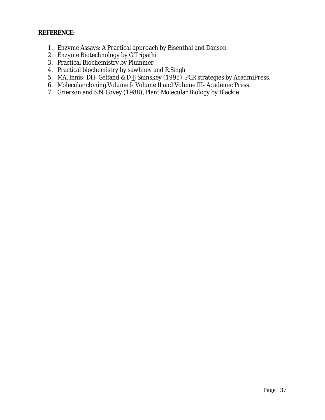## **REFERENCE:**

- 1. Enzyme Assays: A Practical approach by Eisenthal and Danson
- 2. Enzyme Biotechnology by G.Tripathi
- 3. Practical Biochemistry by Plummer
- 4. Practical biochemistry by sawhney and R.Singh
- 5. MA. Innis- DH- Gelfand & D JJ Sninskey (1995), PCR strategies by AcadmiPress.
- 6. Molecular cloning Volume I- Volume II and Volume III- Academic Press.
- 7. Grierson and S.N. Covey (1988), Plant Molecular Biology by Blackie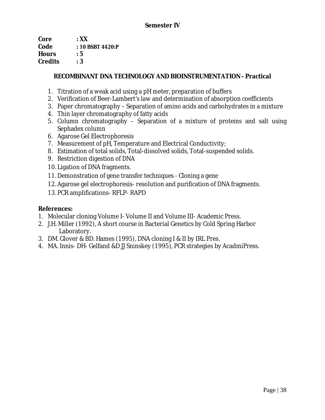| Core           | $\cdot$ XX       |
|----------------|------------------|
| Code           | : 10 BSBT 4420:P |
| <b>Hours</b>   | : 5              |
| <b>Credits</b> | : 3              |

**RECOMBINANT DNA TECHNOLOGY AND BIOINSTRUMENTATION - Practical** 

- 1. Titration of a weak acid using a pH meter, preparation of buffers
- 2. Verification of Beer-Lambert's law and determination of absorption coefficients
- 3. Paper chromatography Separation of amino acids and carbohydrates in a mixture
- 4. Thin layer chromatography of fatty acids
- 5. Column chromatography Separation of a mixture of proteins and salt using Sephadex column
- 6. Agarose Gel Electrophoresis
- 7. Measurement of pH, Temperature and Electrical Conductivity;
- 8. Estimation of total solids, Total-dissolved solids, Total-suspended solids.
- 9. Restriction digestion of DNA
- 10. Ligation of DNA fragments.
- 11. Demonstration of gene transfer techniques Cloning a gene
- 12. Agarose gel electrophoresis- resolution and purification of DNA fragments.
- 13. PCR amplifications- RFLP- RAPD

**References:** 

- 1. Molecular cloning Volume I- Volume II and Volume III- Academic Press.
- 2. J.H. Miller (1992), A short course in Bacterial Genetics by Cold Spring Harbor Laboratory.
- 3. DM. Glover & BD. Hames (1995), DNA cloning I & II by IRL Pres.
- 4. MA. Innis- DH- Gelfand &D JJ Sninskey (1995), PCR strategies by AcadmiPress.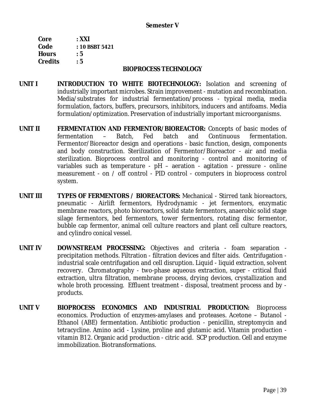### **Semester V**

| Core           | : XXI          |
|----------------|----------------|
| Code           | : 10 BSBT 5421 |
| <b>Hours</b>   | : 5            |
| <b>Credits</b> | : 5            |

#### **BIOPROCESS TECHNOLOGY**

- **UNIT I INTRODUCTION TO WHITE BIOTECHNOLOGY:** Isolation and screening of industrially important microbes. Strain improvement - mutation and recombination. Media/substrates for industrial fermentation/process - typical media, media formulation, factors, buffers, precursors, inhibitors, inducers and antifoams. Media formulation/optimization. Preservation of industrially important microorganisms.
- **UNIT II FERMENTATION AND FERMENTOR/BIOREACTOR:** Concepts of basic modes of fermentation – Batch, Fed batch and Continuous fermentation. Fermentor/Bioreactor design and operations - basic function, design, components and body construction. Sterilization of Fermentor/Bioreactor - air and media sterilization. Bioprocess control and monitoring - control and monitoring of variables such as temperature - pH – aeration - agitation - pressure - online measurement - on / off control - PID control - computers in bioprocess control system.
- **UNIT III TYPES OF FERMENTORS / BIOREACTORS:** Mechanical Stirred tank bioreactors, pneumatic - Airlift fermentors, Hydrodynamic - jet fermentors, enzymatic membrane reactors, photo bioreactors, solid state fermentors, anaerobic solid stage silage fermentors, bed fermentors, tower fermentors, rotating disc fermentor, bubble cap fermentor, animal cell culture reactors and plant cell culture reactors, and cylindro conical vessel.
- **UNIT IV DOWNSTREAM PROCESSING:** Objectives and criteria foam separation precipitation methods. Filtration - filtration devices and filter aids. Centrifugation industrial scale centrifugation and cell disruption. Liquid - liquid extraction, solvent recovery. Chromatography - two-phase aqueous extraction, super - critical fluid extraction, ultra filtration, membrane process, drying devices, crystallization and whole broth processing. Effluent treatment - disposal, treatment process and by products.
- **UNIT V BIOPROCESS ECONOMICS AND INDUSTRIAL PRODUCTION:** Bioprocess economics. Production of enzymes-amylases and proteases. Acetone – Butanol - Ethanol (ABE) fermentation. Antibiotic production - penicillin, streptomycin and tetracycline. Amino acid - Lysine, proline and glutamic acid. Vitamin production vitamin B12. Organic acid production - citric acid. SCP production. Cell and enzyme immobilization. Biotransformations.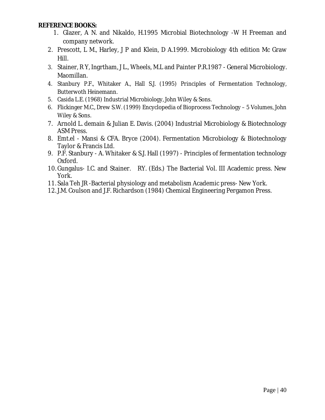**REFERENCE BOOKS:** 

- 1. Glazer, A N. and Nikaldo, H.1995 Microbial Biotechnology -W H Freeman and company network.
- 2. Prescott, L M., Harley, J P and Klein, D A.1999. Microbiology 4th edition Mc Graw Hill.
- 3. Stainer, R Y, Ingrtham, J L., Wheels, M.L and Painter P.R.1987 General Microbiology. Maomillan.
- 4. Stanbury P.F., Whitaker A., Hall S.J. (1995) Principles of Fermentation Technology, Butterwoth Heinemann.
- 5. Casida L.E. (1968) Industrial Microbiology, John Wiley & Sons.
- 6. Flickinger M.C., Drew S.W. (1999) Encyclopedia of Bioprocess Technology 5 Volumes, John Wiley & Sons.
- 7. Arnold L. demain & Julian E. Davis. (2004) Industrial Microbiology & Biotechnology ASM Press.
- 8. Emt.el Mansi & CFA. Bryce (2004). Fermentation Microbiology & Biotechnology Taylor & Francis Ltd.
- 9. P.F. Stanbury A. Whitaker & S.J. Hall (1997) Principles of fermentation technology Oxford.
- 10. Gungalus- I.C. and Stainer. RY. (Eds.) The Bacterial Vol. III Academic press. New York.
- 11.Sala Teh JR -Bacterial physiology and metabolism Academic press- New York.
- 12. J.M. Coulson and J.F. Richardson (1984) Chemical Engineering Pergamon Press.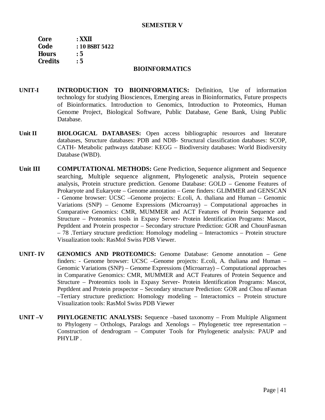### **SEMESTER V**

**Core : XXII Code : 10 BSBT 5422 Hours : 5 Credits : 5** 

#### **BIOINFORMATICS**

- **UNIT-I INTRODUCTION TO BIOINFORMATICS:** Definition, Use of information technology for studying Biosciences, Emerging areas in Bioinformatics, Future prospects of Bioinformatics. Introduction to Genomics, Introduction to Proteomics, Human Genome Project, Biological Software, Public Database, Gene Bank, Using Public Database.
- **Unit II BIOLOGICAL DATABASES:** Open access bibliographic resources and literature databases, Structure databases: PDB and NDB- Structural classification databases: SCOP, CATH- Metabolic pathways database: KEGG – Biodiversity databases: World Biodiversity Database (WBD).
- **Unit III COMPUTATIONAL METHODS:** Gene Prediction, Sequence alignment and Sequence searching, Multiple sequence alignment, Phylogenetic analysis, Protein sequence analysis, Protein structure prediction. Genome Database: GOLD – Genome Features of Prokaryote and Eukaryote – Genome annotation – Gene finders: GLIMMER and GENSCAN - Genome browser: UCSC –Genome projects: E.coli, A. thaliana and Human – Genomic Variations (SNP) – Genome Expressions (Microarray) – Computational approaches in Comparative Genomics: CMR, MUMMER and ACT Features of Protein Sequence and Structure – Proteomics tools in Expasy Server- Protein Identification Programs: Mascot, PeptIdent and Protein prospector – Secondary structure Prediction: GOR and ChounFasman – 78 .Tertiary structure prediction: Homology modeling – Interactomics – Protein structure Visualization tools: RasMol Swiss PDB Viewer.
- **UNIT- IV GENOMICS AND PROTEOMICS:** Genome Database: Genome annotation Gene finders: - Genome browser: UCSC –Genome projects: E.coli, A. thaliana and Human – Genomic Variations (SNP) – Genome Expressions (Microarray) – Computational approaches in Comparative Genomics: CMR, MUMMER and ACT Features of Protein Sequence and Structure – Proteomics tools in Expasy Server- Protein Identification Programs: Mascot, PeptIdent and Protein prospector – Secondary structure Prediction: GOR and Chou nFasman –Tertiary structure prediction: Homology modeling – Interactomics – Protein structure Visualization tools: RasMol Swiss PDB Viewer
- **UNIT –V PHYLOGENETIC ANALYSIS:** Sequence –based taxonomy From Multiple Alignment to Phylogeny – Orthologs, Paralogs and Xenologs – Phylogenetic tree representation – Construction of dendrogram – Computer Tools for Phylogenetic analysis: PAUP and PHYLIP .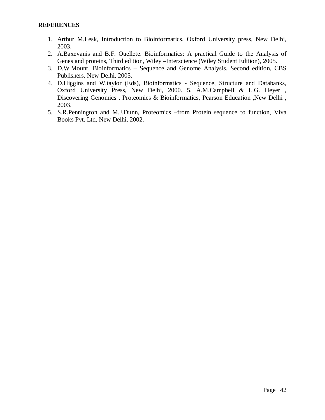- 1. Arthur M.Lesk, Introduction to Bioinformatics, Oxford University press, New Delhi, 2003.
- 2. A.Baxevanis and B.F. Ouellete. Bioinformatics: A practical Guide to the Analysis of Genes and proteins, Third edition, Wiley –Interscience (Wiley Student Edition), 2005.
- 3. D.W.Mount, Bioinformatics Sequence and Genome Analysis, Second edition, CBS Publishers, New Delhi, 2005.
- 4. D.Higgins and W.taylor (Eds), Bioinformatics Sequence, Structure and Databanks, Oxford University Press, New Delhi, 2000. 5. A.M.Campbell & L.G. Heyer , Discovering Genomics , Proteomics & Bioinformatics, Pearson Education ,New Delhi , 2003.
- 5. S.R.Pennington and M.J.Dunn, Proteomics –from Protein sequence to function, Viva Books Pvt. Ltd, New Delhi, 2002.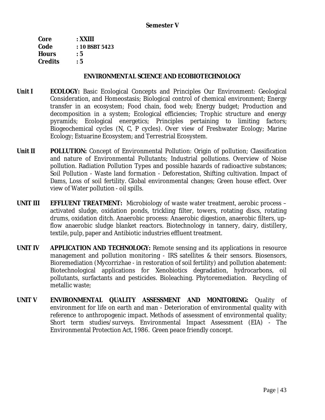| Core         | : XXIII        |
|--------------|----------------|
| Code         | : 10 BSBT 5423 |
| <b>Hours</b> | : 5            |
| Credits      | : 5            |

### **ENVIRONMENTAL SCIENCE AND ECOBIOTECHNOLOGY**

- **Unit I ECOLOGY:** Basic Ecological Concepts and Principles Our Environment: Geological Consideration, and Homeostasis; Biological control of chemical environment; Energy transfer in an ecosystem; Food chain, food web; Energy budget; Production and decomposition in a system; Ecological efficiencies; Trophic structure and energy pyramids; Ecological energetics; Principles pertaining to limiting factors; Biogeochemical cycles (N, C, P cycles). Over view of Freshwater Ecology; Marine Ecology; Estuarine Ecosystem; and Terrestrial Ecosystem.
- **Unit II POLLUTION:** Concept of Environmental Pollution: Origin of pollution; Classification and nature of Environmental Pollutants; Industrial pollutions. Overview of Noise pollution. Radiation Pollution Types and possible hazards of radioactive substances; Soil Pollution - Waste land formation - Deforestation, Shifting cultivation. Impact of Dams, Loss of soil fertility. Global environmental changes; Green house effect. Over view of Water pollution - oil spills.
- **UNIT III EFFLUENT TREATMENT:** Microbiology of waste water treatment, aerobic process activated sludge, oxidation ponds, trickling filter, towers, rotating discs, rotating drums, oxidation ditch. Anaerobic process: Anaerobic digestion, anaerobic filters, upflow anaerobic sludge blanket reactors. Biotechnology in tannery, dairy, distillery, textile, pulp, paper and Antibiotic industries effluent treatment.
- **UNIT IV APPLICATION AND TECHNOLOGY:** Remote sensing and its applications in resource management and pollution monitoring - IRS satellites & their sensors. Biosensors, Bioremediation (Mycorrizhae - in restoration of soil fertility) and pollution abatement: Biotechnological applications for Xenobiotics degradation, hydrocarbons, oil pollutants, surfactants and pesticides. Bioleaching. Phytoremediation. Recycling of metallic waste;
- **UNIT V ENVIRONMENTAL QUALITY ASSESSMENT AND MONITORING:** Quality of environment for life on earth and man - Deterioration of environmental quality with reference to anthropogenic impact. Methods of assessment of environmental quality; Short term studies/surveys. Environmental Impact Assessment (EIA) - The Environmental Protection Act, 1986. Green peace friendly concept.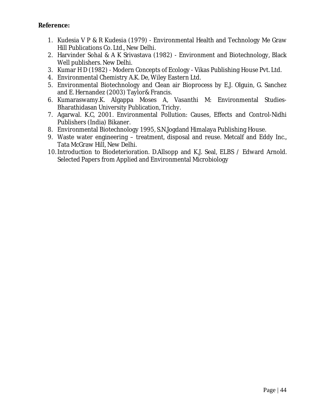**Reference:** 

- 1. Kudesia V P & R Kudesia (1979) Environmental Health and Technology Me Graw Hill Publications Co. Ltd., New Delhi.
- 2. Harvinder Sohal & A K Srivastava (1982) Environment and Biotechnology, Black Well publishers. New Delhi.
- 3. Kumar H D (1982) Modern Concepts of Ecology Vikas Publishing House Pvt. Ltd.
- 4. Environmental Chemistry A.K. De, Wiley Eastern Ltd.
- 5. Environmental Biotechnology and Clean air Bioprocess by E.J. Olguin, G. Sanchez and E. Hernandez (2003) Taylor& Francis.
- 6. Kumaraswamy.K. Algappa Moses A, Vasanthi M: Environmental Studies-Bharathidasan University Publication, Trichy.
- 7. Agarwal. K.C, 2001. Environmental Pollution: Causes, Effects and Control-Nidhi Publishers (India) Bikaner.
- 8. Environmental Biotechnology 1995, S.N.Jogdand Himalaya Publishing House.
- 9. Waste water engineering treatment, disposal and reuse. Metcalf and Eddy Inc., Tata McGraw Hill, New Delhi.
- 10. Introduction to Biodeterioration. D.Allsopp and K.J. Seal, ELBS / Edward Arnold. Selected Papers from Applied and Environmental Microbiology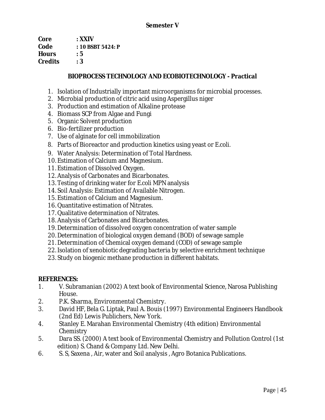| Core           | : XXIV            |
|----------------|-------------------|
| Code           | : 10 BSBT 5424: P |
| <b>Hours</b>   | : 5               |
| <b>Credits</b> | : 3               |

## **BIOPROCESS TECHNOLOGY AND ECOBIOTECHNOLOGY - Practical**

- 1. Isolation of Industrially important microorganisms for microbial processes.
- 2. Microbial production of citric acid using Aspergillus niger
- 3. Production and estimation of Alkaline protease
- 4. Biomass SCP from Algae and Fungi
- 5. Organic Solvent production
- 6. Bio-fertilizer production
- 7. Use of alginate for cell immobilization
- *8.* Parts of Bioreactor and production kinetics using yeast or *E.coli.*
- 9. Water Analysis: Determination of Total Hardness.
- 10. Estimation of Calcium and Magnesium.
- 11. Estimation of Dissolved Oxygen.
- 12. Analysis of Carbonates and Bicarbonates.
- 13. Testing of drinking water for *E.coli* MPN analysis
- 14.Soil Analysis: Estimation of Available Nitrogen.
- 15. Estimation of Calcium and Magnesium.
- 16. Quantitative estimation of Nitrates.
- 17. Qualitative determination of Nitrates.
- 18. Analysis of Carbonates and Bicarbonates.
- 19. Determination of dissolved oxygen concentration of water sample
- 20. Determination of biological oxygen demand (BOD) of sewage sample
- 21. Determination of Chemical oxygen demand (COD) of sewage sample
- 22. Isolation of xenobiotic degrading bacteria by selective enrichment technique
- 23.Study on biogenic methane production in different habitats.

**REFERENCES:** 

- 1. V. Subramanian (2002) A text book of Environmental Science, Narosa Publishing House.
- 2. P.K. Sharma, Environmental Chemistry.
- 3. David HF, Bela G. Liptak, Paul A. Bouis (1997) Environmental Engineers Handbook (2nd Ed) Lewis Publichers, New York.
- 4. Stanley E. Marahan Environmental Chemistry (4th edition) Environmental **Chemistry**
- 5. Dara SS. (2000) A text book of Environmental Chemistry and Pollution Control (1st edition) S. Chand & Company Ltd. New Delhi.
- 6. S. S, Saxena , Air, water and Soil analysis , Agro Botanica Publications.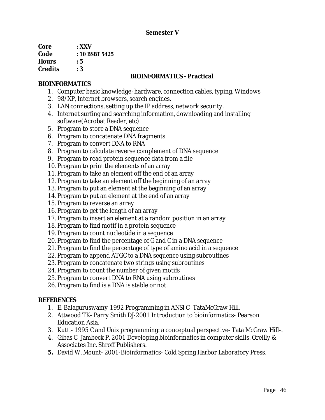### **Semester V**

| Core           | $\cdot$ XXV    |
|----------------|----------------|
| Code           | : 10 BSBT 5425 |
| <b>Hours</b>   | : 5            |
| <b>Credits</b> | : 3            |

## **BIOINFORMATICS - Practical**

## **BIOINFORMATICS**

- 1. Computer basic knowledge; hardware, connection cables, typing, Windows
- 2. 98/XP, Internet browsers, search engines.
- 3. LAN connections, setting up the IP address, network security.
- 4. Internet surfing and searching information, downloading and installing software(Acrobat Reader, etc).
- 5. Program to store a DNA sequence
- 6. Program to concatenate DNA fragments
- 7. Program to convert DNA to RNA
- 8. Program to calculate reverse complement of DNA sequence
- 9. Program to read protein sequence data from a file
- 10. Program to print the elements of an array
- 11. Program to take an element off the end of an array
- 12. Program to take an element off the beginning of an array
- 13. Program to put an element at the beginning of an array
- 14. Program to put an element at the end of an array
- 15. Program to reverse an array
- 16. Program to get the length of an array
- 17. Program to insert an element at a random position in an array
- 18. Program to find motif in a protein sequence
- 19. Program to count nucleotide in a sequence
- 20. Program to find the percentage of G and C in a DNA sequence
- 21. Program to find the percentage of type of amino acid in a sequence
- 22. Program to append ATGC to a DNA sequence using subroutines
- 23. Program to concatenate two strings using subroutines
- 24. Program to count the number of given motifs
- 25. Program to convert DNA to RNA using subroutines
- 26. Program to find is a DNA is stable or not.

## **REFERENCES**

- 1. E. Balaguruswamy-1992 Programming in ANSI C- TataMcGraw Hill.
- 2. Attwood TK- Parry Smith DJ-2001 Introduction to bioinformatics- Pearson Education Asia.
- 3. Kutti- 1995 C and Unix programming: a conceptual perspective- Tata McGraw Hill-.
- 4. Gibas C- Jambeck P. 2001 Developing bioinformatics in computer skills. Oreilly & Associates Inc. Shroff Publishers.
- **5.** David W. Mount- 2001-Bioinformatics- Cold Spring Harbor Laboratory Press.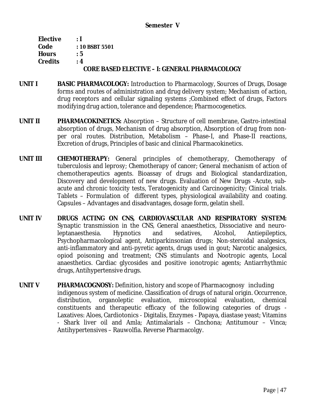| Elective       | $\cdot$ 1                                            |
|----------------|------------------------------------------------------|
| Code           | $: 10$ BSBT 5501                                     |
| <b>Hours</b>   | $\cdot$ 5                                            |
| <b>Credits</b> | $\cdot$ 4                                            |
|                | <b>CORE BASED ELECTIVE - I: GENERAL PHARMACOLOGY</b> |

- **UNIT I BASIC PHARMACOLOGY:** Introduction to Pharmacology, Sources of Drugs, Dosage forms and routes of administration and drug delivery system; Mechanism of action, drug receptors and cellular signaling systems ;Combined effect of drugs, Factors modifying drug action, tolerance and dependence; Pharmocogenetics.
- **UNIT II PHARMACOKINETICS:** Absorption Structure of cell membrane, Gastro-intestinal absorption of drugs, Mechanism of drug absorption, Absorption of drug from nonper oral routes. Distribution, Metabolism – Phase-I, and Phase-II reactions, Excretion of drugs, Principles of basic and clinical Pharmacokinetics.
- **UNIT III CHEMOTHERAPY:** General principles of chemotherapy, Chemotherapy of tuberculosis and leprosy; Chemotherapy of cancer; General mechanism of action of chemotherapeutics agents. Bioassay of drugs and Biological standardization, Discovery and development of new drugs. Evaluation of New Drugs -Acute, subacute and chronic toxicity tests, Teratogenicity and Carcinogenicity; Clinical trials. Tablets – Formulation of different types, physiological availability and coating. Capsules – Advantages and disadvantages, dosage form, gelatin shell.
- **UNIT IV DRUGS ACTING ON CNS, CARDIOVASCULAR AND RESPIRATORY SYSTEM:**  Synaptic transmission in the CNS, General anaesthetics, Dissociative and neuroleptanaesthesia. Hypnotics and sedatives, Alcohol, Antiepileptics, Psychopharmacological agent, Antiparkinsonian drugs; Non-steroidal analgesics, anti-inflammatory and anti-pyretic agents, drugs used in gout; Narcotic analgesics, opiod poisoning and treatment; CNS stimulants and Nootropic agents, Local anaesthetics. Cardiac glycosides and positive ionotropic agents; Antiarrhythmic drugs, Antihypertensive drugs.
- **UNIT V PHARMACOGNOSY:** Definition, history and scope of Pharmacognosy including indigenous system of medicine. Classification of drugs of natural origin. Occurrence, distribution, organoleptic evaluation, microscopical evaluation, chemical constituents and therapeutic efficacy of the following categories of drugs - Laxatives: Aloes, Cardiotonics - Digitalis, Enzymes - Papaya, diastase yeast; Vitamins - Shark liver oil and Amla; Antimalarials – Cinchona; Antitumour – Vinca; Antihypertensives – Rauwolfia. Reverse Pharmacolgy.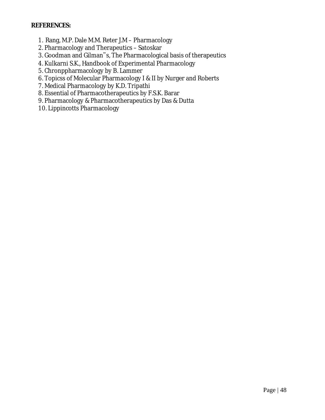### **REFERENCES:**

- 1. Rang, M.P. Dale M.M. Reter J.M Pharmacology
- 2. Pharmacology and Therapeutics Satoskar
- 3. Goodman and Gilman"s, The Pharmacological basis of therapeutics
- 4. Kulkarni S.K., Handbook of Experimental Pharmacology
- 5. Chronppharmacology by B. Lammer
- 6. Topicss of Molecular Pharmacology I & II by Nurger and Roberts
- 7. Medical Pharmacology by K.D. Tripathi
- 8. Essential of Pharmacotherapeutics by F.S.K. Barar
- 9. Pharmacology & Pharmacotherapeutics by Das & Dutta
- 10. Lippincotts Pharmacology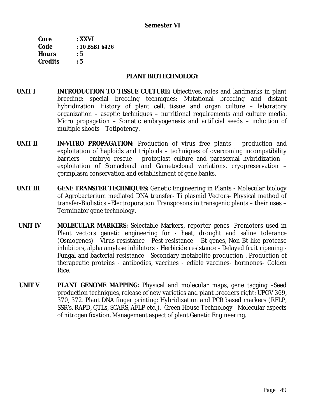| Core           | $:$ XXVI       |
|----------------|----------------|
| Code           | : 10 BSBT 6426 |
| <b>Hours</b>   | : 5            |
| <b>Credits</b> | : 5            |

#### **PLANT BIOTECHNOLOGY**

- **UNIT I INTRODUCTION TO TISSUE CULTURE:** Objectives, roles and landmarks in plant breeding; special breeding techniques: Mutational breeding and distant hybridization. History of plant cell, tissue and organ culture – laboratory organization – aseptic techniques – nutritional requirements and culture media. Micro propagation – Somatic embryogenesis and artificial seeds – induction of multiple shoots – Totipotency.
- **UNIT II** *IN-VITRO* **PROPAGATION:** Production of virus free plants production and exploitation of haploids and triploids – techniques of overcoming incompatibility barriers – embryo rescue – protoplast culture and parasexual hybridization – exploitation of Somaclonal and Gametoclonal variations. cryopreservation – germplasm conservation and establishment of gene banks.
- **UNIT III GENE TRANSFER TECHNIQUES:** Genetic Engineering in Plants Molecular biology of Agrobacterium mediated DNA transfer- Ti plasmid Vectors- Physical method of transfer-Biolistics –Electroporation. Transposons in transgenic plants – their uses – Terminator gene technology.
- **UNIT IV MOLECULAR MARKERS:** Selectable Markers, reporter genes- Promoters used in Plant vectors genetic engineering for - heat, drought and saline tolerance (Osmogenes) - Virus resistance - Pest resistance – Bt genes, Non-Bt like protease inhibitors, alpha amylase inhibitors - Herbicide resistance - Delayed fruit ripening - Fungal and bacterial resistance - Secondary metabolite production . Production of therapeutic proteins - antibodies, vaccines - edible vaccines- hormones- Golden Rice.
- **UNIT V PLANT GENOME MAPPING:** Physical and molecular maps, gene tagging –Seed production techniques, release of new varieties and plant breeders right: UPOV 369, 370, 372. Plant DNA finger printing: Hybridization and PCR based markers (RFLP, SSR's, RAPD, QTLs, SCARS, AFLP etc.,). Green House Technology - Molecular aspects of nitrogen fixation. Management aspect of plant Genetic Engineering.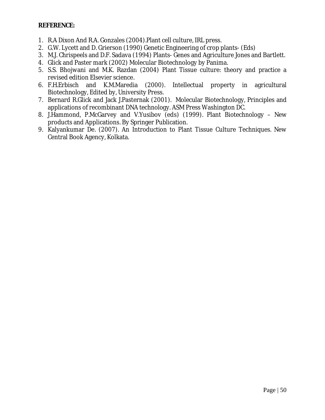### **REFERENCE:**

- 1. R.A Dixon And R.A. Gonzales (2004).Plant cell culture, IRL press.
- 2. G.W. Lycett and D. Grierson (1990) Genetic Engineering of crop plants- (Eds)
- 3. M.J. Chrispeels and D.F. Sadava (1994) Plants- Genes and Agriculture Jones and Bartlett.
- 4. Glick and Paster mark (2002) Molecular Biotechnology by Panima.
- 5. S.S. Bhojwani and M.K. Razdan (2004) Plant Tissue culture: theory and practice a revised edition Elsevier science.
- 6. F.H.Erbisch and K.M.Maredia (2000). Intellectual property in agricultural Biotechnology, Edited by, University Press.
- 7. Bernard R.Glick and Jack J.Pasternak (2001). Molecular Biotechnology, Principles and applications of recombinant DNA technology. ASM Press Washington DC.
- 8. J.Hammond, P.McGarvey and V.Yusibov (eds) (1999). Plant Biotechnology New products and Applications. By Springer Publication.
- 9. Kalyankumar De. (2007). An Introduction to Plant Tissue Culture Techniques. New Central Book Agency, Kolkata.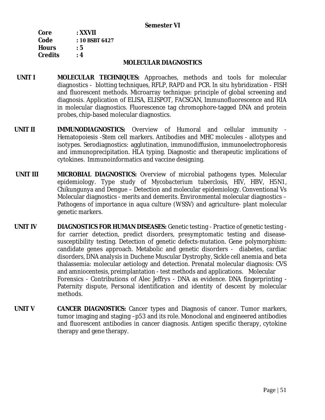#### **Semester VI**

| Core           | : XXVII        |
|----------------|----------------|
| Code           | : 10 BSBT 6427 |
| <b>Hours</b>   | : 5            |
| <b>Credits</b> | $\cdot$ 4      |

### **MOLECULAR DIAGNOSTICS**

- **UNIT I MOLECULAR TECHNIQUES:** Approaches, methods and tools for molecular diagnostics - blotting techniques, RFLP, RAPD and PCR. *In situ* hybridization - FISH and fluorescent methods. Microarray technique: principle of global screening and diagnosis. Application of ELISA, ELISPOT, FACSCAN, Immunofluorescence and RIA in molecular diagnostics. Fluorescence tag chromophore-tagged DNA and protein probes, chip-based molecular diagnostics.
- **UNIT II IMMUNODIAGNOSTICS:** Overview of Humoral and cellular immunity Hematopoiesis -Stem cell markers. Antibodies and MHC molecules - allotypes and isotypes. Serodiagnostics: agglutination, immunodiffusion, immunoelectrophoresis and immunoprecipitation. HLA typing. Diagnostic and therapeutic implications of cytokines. Immunoinformatics and vaccine designing.
- **UNIT III MICROBIAL DIAGNOSTICS:** Overview of microbial pathogens types. Molecular epidemiology. Type study of *Mycobacterium tuberclosis*, HIV, HBV, H5N1, Chikungunya and Dengue – Detection and molecular epidemiology. Conventional Vs Molecular diagnostics - merits and demerits. Environmental molecular diagnostics – Pathogens of importance in aqua culture (WSSV) and agriculture- plant molecular genetic markers.
- **UNIT IV DIAGNOSTICS FOR HUMAN DISEASES:** Genetic testing Practice of genetic testing for carrier detection, predict disorders, presymptomatic testing and diseasesusceptibility testing. Detection of genetic defects-mutation. Gene polymorphism: candidate genes approach. Metabolic and genetic disorders - diabetes, cardiac disorders, DNA analysis in Duchene Muscular Dystrophy, Sickle cell anemia and beta thalassemia: molecular aetiology and detection. Prenatal molecular diagnosis: CVS and amniocentesis, preimplantation - test methods and applications. Molecular Forensics - Contributions of Alec Jeffrys - DNA as evidence. DNA fingerprinting - Paternity dispute, Personal identification and identity of descent by molecular methods.
- **UNIT V CANCER DIAGNOSTICS:** Cancer types and Diagnosis of cancer. Tumor markers, tumor imaging and staging –p53 and its role. Monoclonal and engineered antibodies and fluorescent antibodies in cancer diagnosis. Antigen specific therapy, cytokine therapy and gene therapy.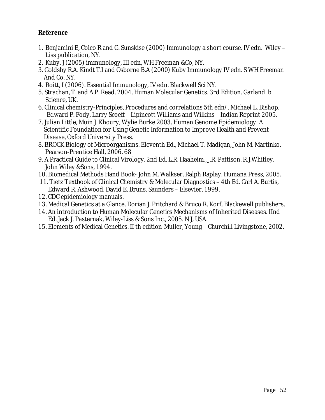## **Reference**

- 1. Benjamini E, Coico R and G. Sunskise (2000) Immunology a short course. IV edn. Wiley Liss publication, NY.
- 2. Kuby, J (2005) immunology, III edn, WH Freeman &Co, NY.
- 3. Goldsby R.A. Kindt T.I and Osborne B.A (2000) Kuby Immunology IV edn. S WH Freeman And Co, NY.
- 4. Roitt, I (2006). Essential Immunology, IV edn. Blackwell Sci NY.
- 5. Strachan, T. and A.P. Read. 2004. Human Molecular Genetics. 3rd Edition. Garland b Science, UK.
- 6. Clinical chemistry-Principles, Procedures and correlations 5th edn/. Michael L. Bishop, Edward P. Fody, Larry Scoeff – Lipincott Williams and Wilkins – Indian Reprint 2005.
- 7. Julian Little, Muin J. Khoury, Wylie Burke 2003. Human Genome Epidemiology: A Scientific Foundation for Using Genetic Information to Improve Health and Prevent Disease, Oxford University Press.
- 8. BROCK Biology of Microorganisms. Eleventh Ed., Michael T. Madigan, John M. Martinko. Pearson-Prentice Hall, 2006. 68
- 9. A Practical Guide to Clinical Virology. 2nd Ed. L.R. Haaheim., J.R. Pattison. R.J.Whitley. John Wiley &Sons, 1994.
- 10. Biomedical Methods Hand Book- John M. Walkser, Ralph Raplay. Humana Press, 2005.
- 11. Tietz Textbook of Clinical Chemistry & Molecular Diagnostics 4th Ed. Carl A. Burtis, Edward R. Ashwood, David E. Bruns. Saunders – Elsevier, 1999.
- 12. CDC epidemiology manuals.
- 13. Medical Genetics at a Glance. Dorian J. Pritchard & Bruco R. Korf, Blackewell publishers.
- 14. An introduction to Human Molecular Genetics Mechanisms of Inherited Diseases. IInd Ed. Jack J. Pasternak, Wiley-Liss & Sons Inc., 2005. N J, USA.
- 15. Elements of Medical Genetics. II th edition-Muller, Young Churchill Livingstone, 2002.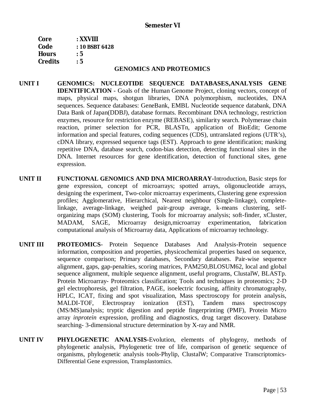| $:$ XXVIII     |
|----------------|
| : 10 BSBT 6428 |
| : 5            |
| : 5            |
|                |

#### **GENOMICS AND PROTEOMICS**

- **UNIT I GENOMICS: NUCLEOTIDE SEQUENCE DATABASES,ANALYSIS GENE IDENTIFICATION** - Goals of the Human Genome Project, cloning vectors, concept of maps, physical maps, shotgun libraries, DNA polymorphism, nucleotides, DNA sequences. Sequence databases: GeneBank, EMBL Nucleotide sequence databank, DNA Data Bank of Japan(DDBJ), database formats. Recombinant DNA technology, restriction enzymes, resource for restriction enzyme (REBASE), similarity search. Polymerase chain reaction, primer selection for PCR, BLASTn, application of BioEdit; Genome information and special features, coding sequences (CDS), untranslated regions (UTR's), cDNA library, expressed sequence tags (EST). Approach to gene identification; masking repetitive DNA, database search, codon-bias detection, detecting functional sites in the DNA. Internet resources for gene identification, detection of functional sites, gene expression.
- **UNIT II FUNCTIONAL GENOMICS AND DNA MICROARRAY-**Introduction, Basic steps for gene expression, concept of microarrays; spotted arrays, oligonucleotide arrays, designing the experiment, Two-color microarray experiments, Clustering gene expression profiles; Agglomerative, Hierarchical, Nearest neighbour (Single-linkage), completelinkage, average-linkage, weighed pair-group average, k-means clustering, selforganizing maps (SOM) clustering, Tools for microarray analysis; soft-finder, xCluster, MADAM, SAGE, Microarray design,microarray experimentation, fabrication computational analysis of Microarray data, Applications of microarray technology.
- **UNIT III PROTEOMICS** Protein Sequence Databases And Analysis-Protein sequence information, composition and properties, physicochemical properties based on sequence, sequence comparison; Primary databases, Secondary databases. Pair-wise sequence alignment, gaps, gap-penalties, scoring matrices, PAM250,BLOSUM62, local and global sequence alignment, multiple sequence alignment, useful programs, ClustalW, BLASTp. Protein Microarray- Proteomics classification; Tools and techniques in proteomics; 2-D gel electrophoresis, gel filtration, PAGE, isoelectric focusing, affinity chromatography, HPLC, ICAT, fixing and spot visualization, Mass spectroscopy for protein analysis, MALDI-TOF, Electrospray ionization (EST), Tandem mass spectroscopy (MS/MS)analysis; tryptic digestion and peptide fingerprinting (PMF), Protein Micro array *inprotein* expression, profiling and diagnostics, drug target discovery. Database searching- 3-dimensional structure determination by X-ray and NMR.
- **UNIT IV PHYLOGENETIC ANALYSIS-**Evolution, elements of phylogeny, methods of phylogenetic analysis, Phylogenetic tree of life, comparison of genetic sequence of organisms, phylogenetic analysis tools-Phylip, ClustalW; Comparative Transcriptomics-Differential Gene expression, Transplastomics.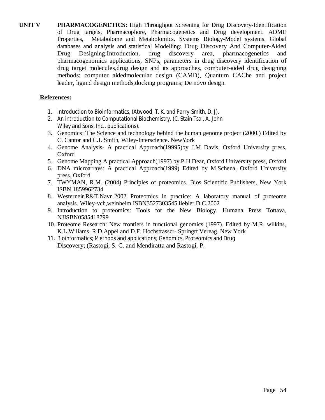**UNIT V PHARMACOGENETICS**: High Throughput Screening for Drug Discovery-Identification of Drug targets, Pharmacophore, Pharmacogenetics and Drug development. ADME Properties, Metabolome and Metabolomics. Systems Biology-Model systems. Global databases and analysis and statistical Modelling; Drug Discovery And Computer-Aided Drug Designing:Introduction, drug discovery area, pharmacogenetics and pharmacogenomics applications, SNPs, parameters in drug discovery identification of drug target molecules,drug design and its approaches, computer-aided drug designing methods; computer aidedmolecular design (CAMD), Quantum CAChe and project leader, ligand design methods,docking programs; De novo design.

## **References:**

- 1. Introduction to Bioinformatics, (Atwood, T. K. and Parry-Smith, D. J).
- 2. An introduction to Computational Biochemistry. (C. Stain Tsai, A. John Wiley and Sons, Inc., publications).
- 3. Genomics: The Science and technology behind the human genome project (2000.) Edited by C. Cantor and C.L Smith, Wiley-Interscience. NewYork
- 4. Genome Analysis- A practical Approach(19995)by J.M Davis, Oxford University press, Oxford
- 5. Genome Mapping A practical Approach(1997) by P.H Dear, Oxford University press, Oxford
- 6. DNA microarrays: A practical Approach(1999) Edited by M.Schena, Oxford University press, Oxford
- 7. TWYMAN, R.M. (2004) Principles of proteomics. Bios Scientific Publishers, New York ISBN 1859962734
- 8. Westerneir.R&T.Navn.2002 Proteomics in practice: A laboratory manual of proteome analysis. Wiley-vch,weinheim.ISBN3527303545 liebler.D.C.2002
- 9. Introduction to proteomics: Tools for the New Biology. Humana Press Tottava, NJISBN0585418799
- 10. Proteome Research: New frontiers in functional genomics (1997). Edited by M.R. wilkins, K.L.Wiliams, R.D.Appel and D.F. Hochstrasscr- Springrt Vereag, New York
- 11. Bioinformatics; Methods and applications; Genomics, Proteomics and Drug Discovery; (Rastogi, S. C. and Mendiratta and Rastogi, P.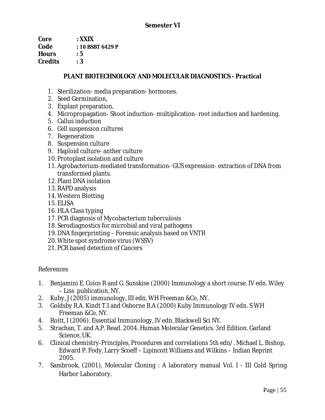**Core : XXIX Code : 10 BSBT 6429 P Hours : 5 Credits : 3** 

## **PLANT BIOTECHNOLOGY AND MOLECULAR DIAGNOSTICS - Practical**

- 1. Sterilization- media preparation- hormones.
- 2. Seed Germination,
- 3. Explant preparation,
- 4. Micropropagation- Shoot induction- multiplication- root induction and hardening.
- 5. Callus induction
- 6. Cell suspension cultures
- 7. Regeneration
- 8. Suspension culture
- 9. Haploid culture- anther culture
- 10. Protoplast isolation and culture
- 11. Agrobacterium-mediated transformation- GUS expression- extraction of DNA from transformed plants.
- 12. Plant DNA isolation
- 13. RAPD analysis
- 14. Western Blotting
- 15. ELISA
- 16. HLA Class typing
- 17. PCR diagnosis of Mycobacterium tuberculosis
- 18.Serodiagnostics for microbial and viral pathogens
- 19. DNA fingerprinting Forensic analysis based on VNTR
- 20. White spot syndrome virus (WSSV)
- 21. PCR based detection of Cancers

References

- 1. Benjamini E, Coico R and G. Sunskise (2000) Immunology a short course. IV edn. Wiley – Liss publication, NY.
- 2. Kuby, J (2005) immunology, III edn, WH Freeman &Co, NY.
- 3. Goldsby R.A. Kindt T.I and Osborne B.A (2000) Kuby Immunology IV edn. S WH Freeman &Co, NY.
- 4. Roitt, I (2006). Essential Immunology, IV edn. Blackwell Sci NY.
- 5. Strachan, T. and A.P. Read. 2004. Human Molecular Genetics. 3rd Edition. Garland Science, UK.
- 6. Clinical chemistry-Principles, Procedures and correlations 5th edn/. Michael L. Bishop, Edward P. Fody, Larry Scoeff – Lipincott Williams and Wilkins – Indian Reprint 2005.
- 7. Sambrook, (2001), Molecular Cloning : A laboratory manual Vol. I III Cold Spring Harbor Laboratory.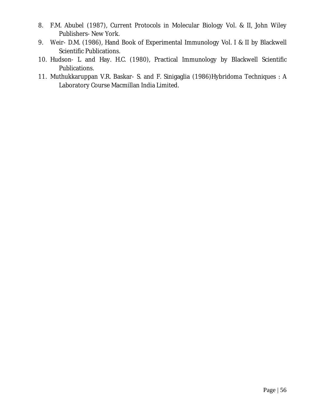- 8. F.M. Abubel (1987), Current Protocols in Molecular Biology Vol. & II, John Wiley Publishers- New York.
- 9. Weir- D.M. (1986), Hand Book of Experimental Immunology Vol. I & II by Blackwell Scientific Publications.
- 10. Hudson- L and Hay. H.C. (1980), Practical Immunology by Blackwell Scientific Publications.
- 11. Muthukkaruppan V.R. Baskar- S. and F. Sinigaglia (1986)Hybridoma Techniques : A Laboratory Course Macmillan India Limited.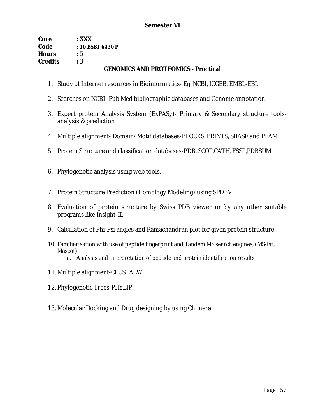| Core           | $\cdot$ XXX                                |
|----------------|--------------------------------------------|
| Code           | $: 10$ BSBT 6430 P                         |
| <b>Hours</b>   | : 5                                        |
| <b>Credits</b> | :3                                         |
|                | <b>GENOMICS AND PROTEOMICS - Practical</b> |

- 1. Study of Internet resources in Bioinformatics- Eg. NCBI, ICGEB, EMBL-EBI.
- 2. Searches on NCBI- Pub Med bibliographic databases and Genome annotation.
- 3. Expert protein Analysis System (ExPASy)- Primary & Secondary structure toolsanalysis & prediction
- 4. Multiple alignment- Domain/Motif databases-BLOCKS, PRINTS, SBASE and PFAM
- 5. Protein Structure and classification databases-PDB, SCOP,CATH, FSSP,PDBSUM
- 6. Phylogenetic analysis using web tools.
- 7. Protein Structure Prediction (Homology Modeling) using SPDBV
- 8. Evaluation of protein structure by Swiss PDB viewer or by any other suitable programs like Insight-II.
- 9. Calculation of Phi-Psi angles and Ramachandran plot for given protein structure.
- 10. Familiarisation with use of peptide fingerprint and Tandem MS search engines, (MS-Fit, Mascot)
	- a. Analysis and interpretation of peptide and protein identification results
- 11. Multiple alignment-CLUSTALW
- 12. Phylogenetic Trees-PHYLIP
- 13. Molecular Docking and Drug designing by using Chimera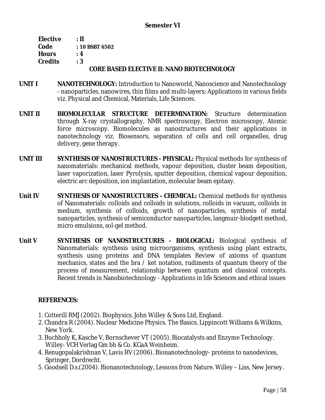| Elective       | зΠ                                                |
|----------------|---------------------------------------------------|
| Code           | $: 10$ BSBT 6502                                  |
| <b>Hours</b>   | <u>. 4</u>                                        |
| <b>Credits</b> | : 3                                               |
|                | <b>CORE BASED ELECTIVE II: NANO BIOTECHNOLOGY</b> |

- **UNIT I NANOTECHNOLOGY:** Introduction to Nanoworld, Nanoscience and Nanotechnology - nanoparticles, nanowires, thin films and multi-layers; Applications in various fields viz. Physical and Chemical, Materials, Life Sciences.
- **UNIT II BIOMOLECULAR STRUCTURE DETERMINATION:** Structure determination through X-ray crystallography, NMR spectroscopy, Electron microscopy, Atomic force microscopy. Biomolecules as nanostructures and their applications in nanotechnology viz. Biosensors, separation of cells and cell organelles, drug delivery, gene therapy.
- **UNIT III SYNTHESIS OF NANOSTRUCTURES - PHYSICAL:** Physical methods for synthesis of nanomaterials: mechanical methods, vapour deposition, cluster beam deposition, laser vaporization, laser Pyrolysis, sputter deposition, chemical vapour deposition, electric arc deposition, ion implantation, molecular beam epitaxy.
- **Unit IV SYNTHESIS OF NANOSTRUCTURES - CHEMICAL:** Chemical methods for synthesis of Nanomaterials: colloids and colloids in solutions, colloids in vacuum, colloids in medium, synthesis of colloids, growth of nanoparticles, synthesis of metal nanoparticles, synthesis of semiconductor nanoparticles, langmuir-blodgett method, micro emulsions, sol-gel method.
- **Unit V SYNTHESIS OF NANOSTRUCTURES - BIOLOGICAL:** Biological synthesis of Nanomaterials: synthesis using microorganisms, synthesis using plant extracts, synthesis using proteins and DNA templates Review of axioms of quantum mechanics, states and the bra / ket notation, rudiments of quantum theory of the process of measurement, relationship between quantum and classical concepts. Recent trends in Nanobiotechnology - Applications in life Sciences and ethical issues

## **REFERENCES:**

- 1. Cotterill RMJ (2002). Biophysics. John Willey & Sons Ltd, England.
- 2. Chandra R (2004). Nuclear Medicine Physics. The Basics. Lippincott Williams & Wilkins, New York.
- 3. Buchholy K, Kasche V, Bornschever VT (2005). Biocatalysts and Enzyme Technology. Willey- VCH Verlag Gm bh & Co. KGaA Weinheim.
- 4. Renugopalakrishnan V, Lavis RV (2006). Bionanotechnology- proteins to nanodevices, Springer, Dordrecht.
- 5. Goodsell D.s.(2004). Bionanotechnology, Lessons from Nature. Willey Liss, New Jersey.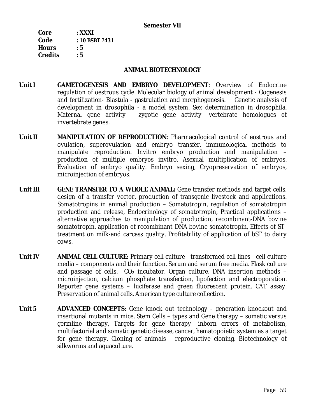| Core           | $:$ XXXI       |
|----------------|----------------|
| Code           | : 10 BSBT 7431 |
| <b>Hours</b>   | : 5            |
| <b>Credits</b> | : 5            |

### **ANIMAL BIOTECHNOLOGY**

- **Unit I GAMETOGENESIS AND EMBRYO DEVELOPMENT**: Overview of Endocrine regulation of oestrous cycle. Molecular biology of animal development - Oogenesis and fertilization- Blastula - gastrulation and morphogenesis. Genetic analysis of development in drosophila - a model system. Sex determination in drosophila. Maternal gene activity - zygotic gene activity- vertebrate homologues of invertebrate genes.
- **Unit II MANIPULATION OF REPRODUCTION:** Pharmacological control of eostrous and ovulation, superovulation and embryo transfer, immunological methods to manipulate reproduction. Invitro embryo production and manipulation – production of multiple embryos invitro. Asexual multiplication of embryos. Evaluation of embryo quality. Embryo sexing, Cryopreservation of embryos, microinjection of embryos.
- **Unit III GENE TRANSFER TO A WHOLE ANIMAL:** Gene transfer methods and target cells, design of a transfer vector, production of transgenic livestock and applications. Somatotropins in animal production – Somatotropin, regulation of somatotropin production and release, Endocrinology of somatotropin, Practical applications – alternative approaches to manipulation of production, recombinant-DNA bovine somatotropin, application of recombinant-DNA bovine somatotropin, Effects of STtreatment on milk-and carcass quality. Profitability of application of bST to dairy cows.
- **Unit IV ANIMAL CELL CULTURE:** Primary cell culture transformed cell lines cell culture media – components and their function. Serum and serum free media. Flask culture and passage of cells.  $CO<sub>2</sub>$  incubator. Organ culture. DNA insertion methods – microinjection, calcium phosphate transfection, lipofection and electroporation. Reporter gene systems – luciferase and green fluorescent protein. CAT assay. Preservation of animal cells. American type culture collection.
- **Unit 5 ADVANCED CONCEPTS:** Gene knock out technology generation knockout and insertional mutants in mice. Stem Cells – types and Gene therapy – somatic versus germline therapy, Targets for gene therapy- inborn errors of metabolism, multifactorial and somatic genetic disease, cancer, hematopoietic system as a target for gene therapy. Cloning of animals - reproductive cloning. Biotechnology of silkworms and aquaculture.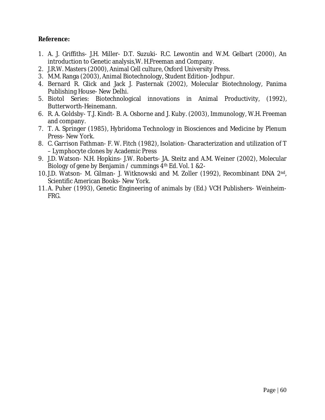**Reference:** 

- 1. A. J. Griffiths- J.H. Miller- D.T. Suzuki- R.C. Lewontin and W.M. Gelbart (2000), An introduction to Genetic analysis,W. H.Freeman and Company.
- 2. J.R.W. Masters (2000), Animal Cell culture, Oxford University Press.
- 3. M.M. Ranga (2003), Animal Biotechnology, Student Edition- Jodhpur.
- 4. Bernard R. Glick and Jack J. Pasternak (2002), Molecular Biotechnology, Panima Publishing House- New Delhi.
- 5. Biotol Series: Biotechnological innovations in Animal Productivity, (1992), Butterworth-Heinemann.
- 6. R. A. Goldsby- T.J. Kindt- B. A. Osborne and J. Kuby. (2003), Immunology, W.H. Freeman and company.
- 7. T. A. Springer (1985), Hybridoma Technology in Biosciences and Medicine by Plenum Press- New York.
- 8. C. Garrison Fathman- F. W. Fitch (1982), Isolation- Characterization and utilization of T – Lymphocyte clones by Academic Press
- 9. J.D. Watson- N.H. Hopkins- J.W. Roberts- JA. Steitz and A.M. Weiner (2002), Molecular Biology of gene by Benjamin / cummings 4th Ed. Vol. 1 &2-
- 10. J.D. Watson- M. Gilman- J. Witknowski and M. Zoller (1992), Recombinant DNA 2nd, Scientific American Books- New York.
- 11. A. Puher (1993), Genetic Engineering of animals by (Ed.) VCH Publishers- Weinheim-FRG.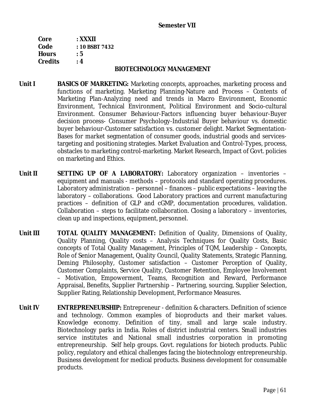| Core           | : XXXII        |
|----------------|----------------|
| Code           | : 10 BSBT 7432 |
| <b>Hours</b>   | : 5            |
| <b>Credits</b> | : 4            |

#### **BIOTECHNOLOGY MANAGEMENT**

- **Unit I BASICS OF MARKETING:** Marketing concepts, approaches, marketing process and functions of marketing. Marketing Planning-Nature and Process – Contents of Marketing Plan-Analyzing need and trends in Macro Environment, Economic Environment, Technical Environment, Political Environment and Socio-cultural Environment. Consumer Behaviour-Factors influencing buyer behaviour-Buyer decision process- Consumer Psychology-Industrial Buyer behaviour vs. domestic buyer behaviour-Customer satisfaction vs. customer delight. Market Segmentation-Bases for market segmentation of consumer goods, industrial goods and servicestargeting and positioning strategies. Market Evaluation and Control-Types, process, obstacles to marketing control-marketing. Market Research, Impact of Govt. policies on marketing and Ethics.
- **Unit II SETTING UP OF A LABORATORY:** Laboratory organization inventories equipment and manuals - methods – protocols and standard operating procedures. Laboratory administration – personnel – finances – public expectations – leaving the laboratory – collaborations. Good Laboratory practices and current manufacturing practices – definition of GLP and cGMP, documentation procedures, validation. Collaboration – steps to facilitate collaboration. Closing a laboratory – inventories, clean up and inspections, equipment, personnel.
- **Unit III TOTAL QUALITY MANAGEMENT:** Definition of Quality, Dimensions of Quality, Quality Planning, Quality costs – Analysis Techniques for Quality Costs, Basic concepts of Total Quality Management, Principles of TQM, Leadership – Concepts, Role of Senior Management, Quality Council, Quality Statements, Strategic Planning, Deming Philosophy, Customer satisfaction – Customer Perception of Quality, Customer Complaints, Service Quality, Customer Retention, Employee Involvement – Motivation, Empowerment, Teams, Recognition and Reward, Performance Appraisal, Benefits, Supplier Partnership – Partnering, sourcing, Supplier Selection, Supplier Rating, Relationship Development, Performance Measures.
- **Unit IV ENTREPRENEURSHIP:** Entrepreneur definition & characters. Definition of science and technology. Common examples of bioproducts and their market values. Knowledge economy. Definition of tiny, small and large scale industry. Biotechnology parks in India. Roles of district industrial centers. Small industries service institutes and National small industries corporation in promoting entrepreneurship. Self help groups. Govt. regulations for biotech products. Public policy, regulatory and ethical challenges facing the biotechnology entrepreneurship. Business development for medical products. Business development for consumable products.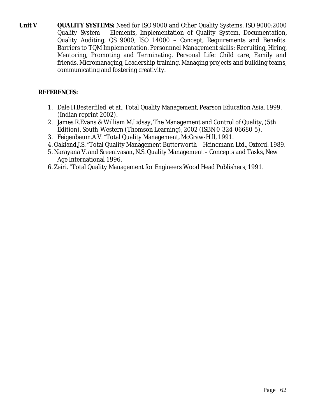**Unit V QUALITY SYSTEMS:** Need for ISO 9000 and Other Quality Systems, ISO 9000:2000 Quality System – Elements, Implementation of Quality System, Documentation, Quality Auditing, QS 9000, ISO 14000 – Concept, Requirements and Benefits. Barriers to TQM Implementation. Personnnel Management skills: Recruiting, Hiring, Mentoring, Promoting and Terminating. Personal Life: Child care, Family and friends, Micromanaging, Leadership training, Managing projects and building teams, communicating and fostering creativity.

## **REFERENCES:**

- 1. Dale H.Besterfiled, et at., Total Quality Management, Pearson Education Asia, 1999. (Indian reprint 2002).
- 2. James R.Evans & William M.Lidsay, The Management and Control of Quality, (5th Edition), South-Western (Thomson Learning), 2002 (ISBN 0-324-06680-5).
- 3. Feigenbaum.A.V. "Total Quality Management, McGraw-Hill, 1991.
- 4. Oakland.J.S. "Total Quality Management Butterworth Hcinemann Ltd., Oxford. 1989.
- 5. Narayana V. and Sreenivasan, N.S. Quality Management Concepts and Tasks, New Age International 1996.
- 6. Zeiri. "Total Quality Management for Engineers Wood Head Publishers, 1991.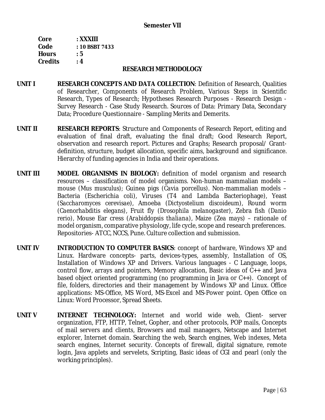### **Semester VII**

| Core           | $:$ XXXIII     |
|----------------|----------------|
| Code           | : 10 BSBT 7433 |
| <b>Hours</b>   | : 5            |
| <b>Credits</b> | : 4            |

#### **RESEARCH METHODOLOGY**

- **UNIT I RESEARCH CONCEPTS AND DATA COLLECTION**: Definition of Research, Qualities of Researcher, Components of Research Problem, Various Steps in Scientific Research, Types of Research; Hypotheses Research Purposes - Research Design - Survey Research - Case Study Research. Sources of Data: Primary Data, Secondary Data; Procedure Questionnaire - Sampling Merits and Demerits.
- **UNIT II RESEARCH REPORTS**: Structure and Components of Research Report, editing and evaluation of final draft, evaluating the final draft; Good Research Report, observation and research report. Pictures and Graphs; Research proposal/ Grantdefinition, structure, budget allocation, specific aims, background and significance. Hierarchy of funding agencies in India and their operations.
- **UNIT III MODEL ORGANISMS IN BIOLOGY:** definition of model organism and research resources – classification of model organisms. Non-human mammalian models – mouse *(Mus musculus)*; Guinea pigs *(Cavia porcellus).* Non-mammalian models – Bacteria (Escherichia *coli*), Viruses (T4 and Lambda Bacteriophage), Yeast (*Saccharomyces cerevisae*), Amoeba (*Dictyostelium discoideum*), Round worm (*Caenorhabditis elegans)*, Fruit fly *(Drosophila melanogaster)*, Zebra fish *(Danio rerio),* Mouse Ear cress (*Arabiddopsis thaliana)*, Maize (*Zea mays*) – rationale of model organism, comparative physiology, life cycle, scope and research preferences. Repositories- ATCC, NCCS, Pune. Culture collection and submission.
- **UNIT IV INTRODUCTION TO COMPUTER BASICS**: concept of hardware, Windows XP and Linux. Hardware concepts- parts, devices-types, assembly, Installation of OS, Installation of Windows XP and Drivers. Various languages - C Language, loops, control flow, arrays and pointers, Memory allocation, Basic ideas of C++ and Java based object oriented programming (no programming in Java or C++). Concept of file, folders, directories and their management by Windows XP and Linux. Office applications: MS-Office, MS Word, MS-Excel and MS-Power point. Open Office on Linux: Word Processor, Spread Sheets.
- **UNIT V INTERNET TECHNOLOGY:** Internet and world wide web, Client- server organization, FTP, HTTP, Telnet, Gopher, and other protocols, POP mails, Concepts of mail servers and clients, Browsers and mail managers, Netscape and Internet explorer, Internet domain. Searching the web, Search engines, Web indexes, Meta search engines, Internet security. Concepts of firewall, digital signature, remote login, Java applets and servelets, Scripting, Basic ideas of CGI and pearl (only the working principles).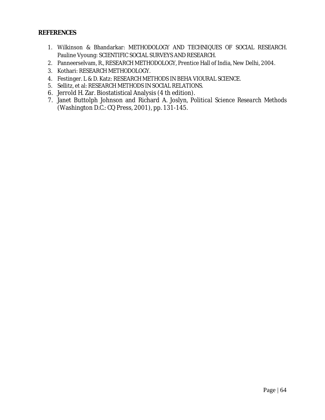### **REFERENCES**

- 1. Wilkinson & Bhandarkar: METHODOLOGY AND TECHNIQUES OF SOCIAL RESEARCH. Pauline Vyoung: SCIENTIFIC SOCIAL SURVEYS AND RESEARCH.
- 2. Panneerselvam, R., RESEARCH METHODOLOGY, Prentice Hall of India, New Delhi, 2004.
- 3. Kothari: RESEARCH METHODOLOGY.
- 4. Festinger. L & D. Katz: RESEARCH METHODS IN BEHA VIOURAL SCIENCE.
- 5. Sellitz, et al: RESEARCH METHODS IN SOCIAL RELATIONS.
- 6. Jerrold H. Zar. Biostatistical Analysis (4 th edition).
- 7. Janet Buttolph Johnson and Richard A. Joslyn, *Political Science Research Methods*  (Washington D.C.: CQ Press, 2001), pp. 131-145.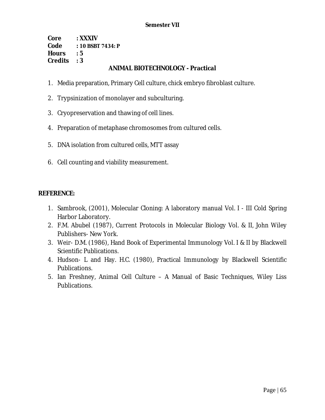**Core : XXXIV Code : 10 BSBT 7434: P Hours : 5 Credits : 3** 

## **ANIMAL BIOTECHNOLOGY - Practical**

- 1. Media preparation, Primary Cell culture, chick embryo fibroblast culture.
- 2. Trypsinization of monolayer and subculturing.
- 3. Cryopreservation and thawing of cell lines.
- 4. Preparation of metaphase chromosomes from cultured cells.
- 5. DNA isolation from cultured cells, MTT assay
- 6. Cell counting and viability measurement.

### **REFERENCE:**

- 1. Sambrook, (2001), Molecular Cloning: A laboratory manual Vol. I III Cold Spring Harbor Laboratory.
- 2. F.M. Abubel (1987), Current Protocols in Molecular Biology Vol. & II, John Wiley Publishers- New York.
- 3. Weir- D.M. (1986), Hand Book of Experimental Immunology Vol. I & II by Blackwell Scientific Publications.
- 4. Hudson- L and Hay. H.C. (1980), Practical Immunology by Blackwell Scientific Publications.
- 5. Ian Freshney, Animal Cell Culture A Manual of Basic Techniques, Wiley Liss Publications.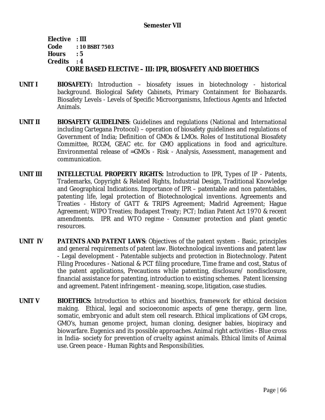**Elective : III Code : 10 BSBT 7503 Hours : 5 Credits : 4 CORE BASED ELECTIVE – III: IPR, BIOSAFETY AND BIOETHICS** 

- **UNIT I BIOSAFETY:** Introduction biosafety issues in biotechnology historical background. Biological Safety Cabinets, Primary Containment for Biohazards. Biosafety Levels - Levels of Specific Microorganisms, Infectious Agents and Infected Animals.
- **UNIT II BIOSAFETY GUIDELINES**: Guidelines and regulations (National and International including Cartegana Protocol) – operation of biosafety guidelines and regulations of Government of India; Definition of GMOs & LMOs. Roles of Institutional Biosafety Committee, RCGM, GEAC etc. for GMO applications in food and agriculture. Environmental release of =GMOs - Risk - Analysis, Assessment, management and communication.
- **UNIT III INTELLECTUAL PROPERTY RIGHTS:** Introduction to IPR, Types of IP Patents, Trademarks, Copyright & Related Rights, Industrial Design, Traditional Knowledge and Geographical Indications. Importance of IPR – patentable and non patentables, patenting life, legal protection of Biotechnological inventions. Agreements and Treaties - History of GATT & TRIPS Agreement; Madrid Agreement; Hague Agreement; WIPO Treaties; Budapest Treaty; PCT; Indian Patent Act 1970 & recent amendments. IPR and WTO regime - Consumer protection and plant genetic resources.
- **UNIT IV PATENTS AND PATENT LAWS**: Objectives of the patent system Basic, principles and general requirements of patent law. Biotechnological inventions and patent law - Legal development - Patentable subjects and protection in Biotechnology. Patent Filing Procedures - National & PCT filing procedure, Time frame and cost, Status of the patent applications, Precautions while patenting, disclosure/ nondisclosure, financial assistance for patenting, introduction to existing schemes. Patent licensing and agreement. Patent infringement - meaning, scope, litigation, case studies.
- **UNIT V BIOETHICS:** Introduction to ethics and bioethics, framework for ethical decision making. Ethical, legal and socioeconomic aspects of gene therapy, germ line, somatic, embryonic and adult stem cell research. Ethical implications of GM crops, GMO's, human genome project, human cloning, designer babies, biopiracy and biowarfare. Eugenics and its possible approaches. Animal right activities - Blue cross in India- society for prevention of cruelty against animals. Ethical limits of Animal use. Green peace - Human Rights and Responsibilities.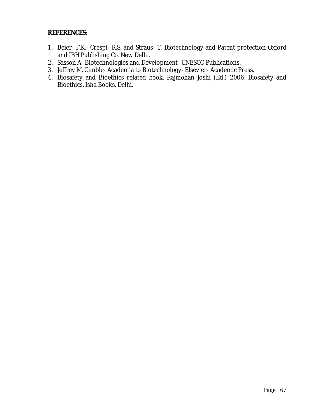## **REFERENCES:**

- 1. Beier- F.K.- Crespi- R.S. and Straus- T. Biotechnology and Patent protection-Oxford and IBH Publishing Co. New Delhi.
- 2. Sasson A- Biotechnologies and Development- UNESCO Publications.
- 3. Jeffrey M. Gimble- Academia to Biotechnology- Elsevier- Academic Press.
- 4. Biosafety and Bioethics related book. Rajmohan Joshi (Ed.) 2006. Biosafety and Bioethics. Isha Books, Delhi.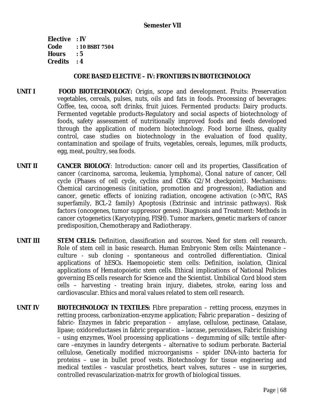**Elective : IV Code : 10 BSBT 7504 Hours : 5 Credits : 4** 

### **CORE BASED ELECTIVE – IV: FRONTIERS IN BIOTECHNOLOGY**

- **UNIT I FOOD BIOTECHNOLOGY:** Origin, scope and development. Fruits: Preservation vegetables, cereals, pulses, nuts, oils and fats in foods. Processing of beverages: Coffee, tea, cocoa, soft drinks, fruit juices. Fermented products: Dairy products. Fermented vegetable products-Regulatory and social aspects of biotechnology of foods, safety assessment of nutritionally improved foods and feeds developed through the application of modern biotechnology. Food borne illness, quality control, case studies on biotechnology in the evaluation of food quality, contamination and spoilage of fruits, vegetables, cereals, legumes, milk products, egg, meat, poultry, sea foods.
- **UNIT II CANCER BIOLOGY**: Introduction: cancer cell and its properties, Classification of cancer (carcinoma, sarcoma, leukemia, lymphoma), Clonal nature of cancer, Cell cycle (Phases of cell cycle, cyclins and CDKs G2/M checkpoint). Mechanisms: Chemical carcinogenesis (initiation, promotion and progression), Radiation and cancer, genetic effects of ionizing radiation, oncogene activation (c-MYC, RAS superfamily, BCL-2 family) Apoptosis (Extrinsic and intrinsic pathways). Risk factors (oncogenes, tumor suppressor genes). Diagnosis and Treatment: Methods in cancer cytogenetics (Karyotyping, FISH). Tumor markers, genetic markers of cancer predisposition, Chemotherapy and Radiotherapy.
- **UNIT III STEM CELLS:** Definition, classification and sources. Need for stem cell research. Role of stem cell in basic research. Human Embryonic Stem cells: Maintenance – culture - sub cloning - spontaneous and controlled differentiation. Clinical applications of hESCs. Haemopoietic stem cells: Definition, isolation, Clinical applications of Hematopoietic stem cells. Ethical implications of National Policies governing ES cells research for Science and the Scientist. Umbilical Cord blood stem cells – harvesting - treating brain injury, diabetes, stroke, earing loss and cardiovascular. Ethics and moral values related to stem cell research.
- **UNIT IV BIOTECHNOLOGY IN TEXTILES:** Fibre preparation retting process, enzymes in retting process, carbonization-enzyme application; Fabric preparation – desizing of fabric- Enzymes in fabric preparation - amylase, cellulose, pectinase, Catalase, lipase; oxidoreductases in fabric preparation – laccase, peroxidases, Fabric finishing – using enzymes, Wool processing applications – degumming of silk; textile aftercare –enzymes in laundry detergents – alternative to sodium perborate. Bacterial cellulose, Genetically modified microorganisms – spider DNA-into bacteria for proteins – use in bullet proof vests. Biotechnology for tissue engineering and medical textiles – vascular prosthetics, heart valves, sutures – use in surgeries, controlled revascularization-matrix for growth of biological tissues.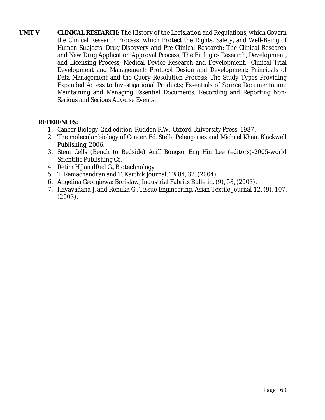**UNIT V CLINICAL RESEARCH:** The History of the Legislation and Regulations, which Govern the Clinical Research Process; which Protect the Rights, Safety, and Well-Being of Human Subjects. Drug Discovery and Pre-Clinical Research: The Clinical Research and New Drug Application Approval Process; The Biologics Research, Development, and Licensing Process; Medical Device Research and Development. Clinical Trial Development and Management: Protocol Design and Development; Principals of Data Management and the Query Resolution Process; The Study Types Providing Expanded Access to Investigational Products; Essentials of Source Documentation: Maintaining and Managing Essential Documents; Recording and Reporting Non-Serious and Serious Adverse Events.

## **REFERENCES:**

- 1. Cancer Biology, 2nd edition, Ruddon R.W., Oxford University Press, 1987.
- 2. The molecular biology of Cancer. Ed. Stella Pelengaries and Michael Khan. Blackwell Publishing, 2006.
- 3. Stem Cells (Bench to Bedside) Ariff Bongso, Eng Hin Lee (editors)-2005-world Scientific Publishing Co.
- 4. Retim H.J an dRed G., Biotechnology
- 5. T. Ramachandran and T. Karthik Journal. TX 84, 32. (2004)
- 6. Angelina Georgiewa: Borislaw, Industrial Fabrics Bulletin. (9), 58, (2003).
- 7. Hayavadana J. and Renuka G., Tissue Engineering, Asian Textile Journal 12, (9), 107, (2003).